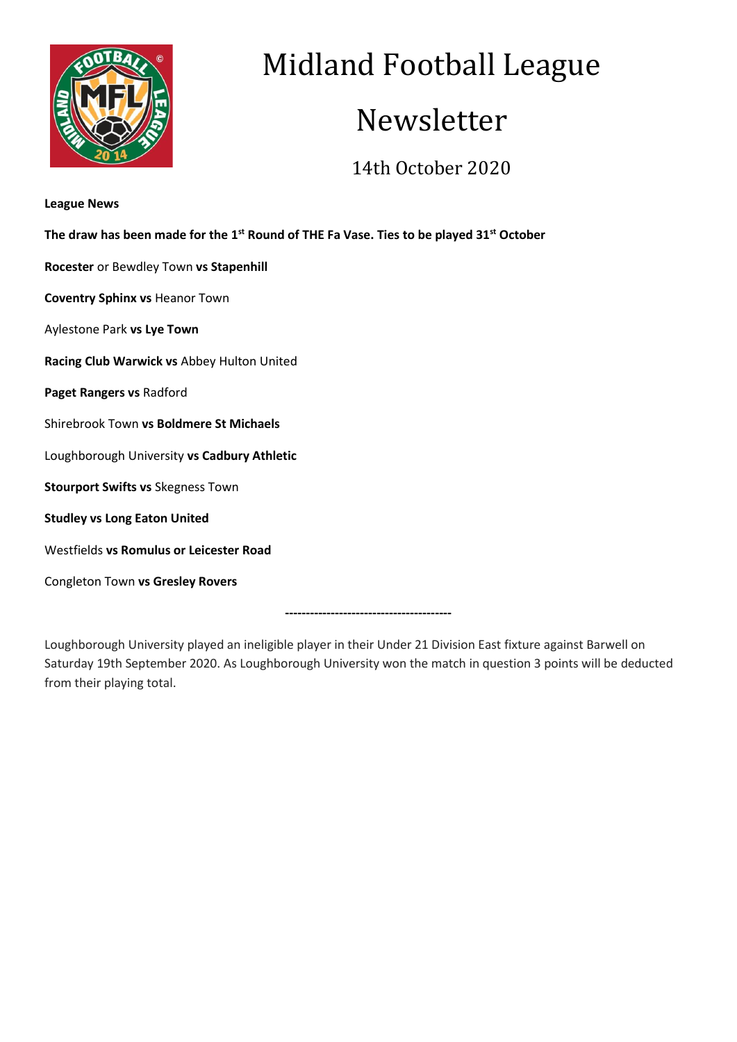

# Midland Football League

## Newsletter

### 14th October 2020

| <b>League News</b>                                                                                              |
|-----------------------------------------------------------------------------------------------------------------|
| The draw has been made for the 1 <sup>st</sup> Round of THE Fa Vase. Ties to be played 31 <sup>st</sup> October |
| Rocester or Bewdley Town vs Stapenhill                                                                          |
| <b>Coventry Sphinx vs Heanor Town</b>                                                                           |
| Aylestone Park vs Lye Town                                                                                      |
| Racing Club Warwick vs Abbey Hulton United                                                                      |
| Paget Rangers vs Radford                                                                                        |
| Shirebrook Town vs Boldmere St Michaels                                                                         |
| Loughborough University vs Cadbury Athletic                                                                     |
| <b>Stourport Swifts vs Skegness Town</b>                                                                        |
| <b>Studley vs Long Eaton United</b>                                                                             |
| Westfields vs Romulus or Leicester Road                                                                         |
| Congleton Town vs Gresley Rovers                                                                                |
|                                                                                                                 |

Loughborough University played an ineligible player in their Under 21 Division East fixture against Barwell on Saturday 19th September 2020. As Loughborough University won the match in question 3 points will be deducted from their playing total.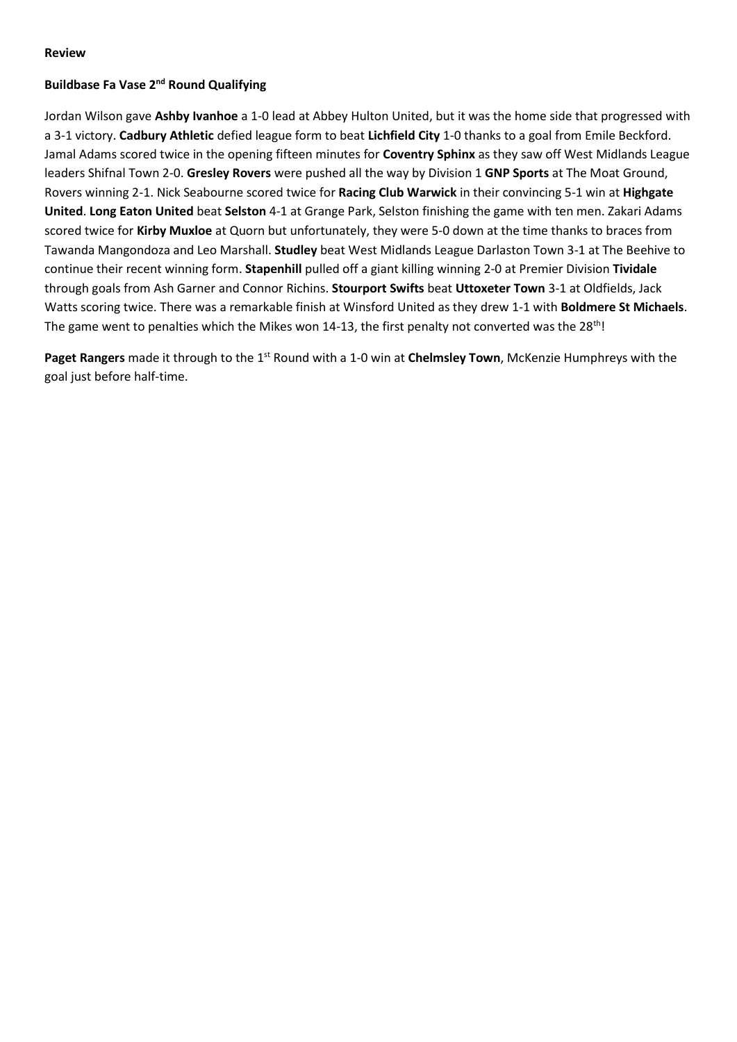#### **Review**

#### **Buildbase Fa Vase 2nd Round Qualifying**

Jordan Wilson gave **Ashby Ivanhoe** a 1-0 lead at Abbey Hulton United, but it was the home side that progressed with a 3-1 victory. **Cadbury Athletic** defied league form to beat **Lichfield City** 1-0 thanks to a goal from Emile Beckford. Jamal Adams scored twice in the opening fifteen minutes for **Coventry Sphinx** as they saw off West Midlands League leaders Shifnal Town 2-0. **Gresley Rovers** were pushed all the way by Division 1 **GNP Sports** at The Moat Ground, Rovers winning 2-1. Nick Seabourne scored twice for **Racing Club Warwick** in their convincing 5-1 win at **Highgate United**. **Long Eaton United** beat **Selston** 4-1 at Grange Park, Selston finishing the game with ten men. Zakari Adams scored twice for **Kirby Muxloe** at Quorn but unfortunately, they were 5-0 down at the time thanks to braces from Tawanda Mangondoza and Leo Marshall. **Studley** beat West Midlands League Darlaston Town 3-1 at The Beehive to continue their recent winning form. **Stapenhill** pulled off a giant killing winning 2-0 at Premier Division **Tividale** through goals from Ash Garner and Connor Richins. **Stourport Swifts** beat **Uttoxeter Town** 3-1 at Oldfields, Jack Watts scoring twice. There was a remarkable finish at Winsford United as they drew 1-1 with **Boldmere St Michaels**. The game went to penalties which the Mikes won 14-13, the first penalty not converted was the 28<sup>th</sup>!

**Paget Rangers** made it through to the 1<sup>st</sup> Round with a 1-0 win at **Chelmsley Town**, McKenzie Humphreys with the goal just before half-time.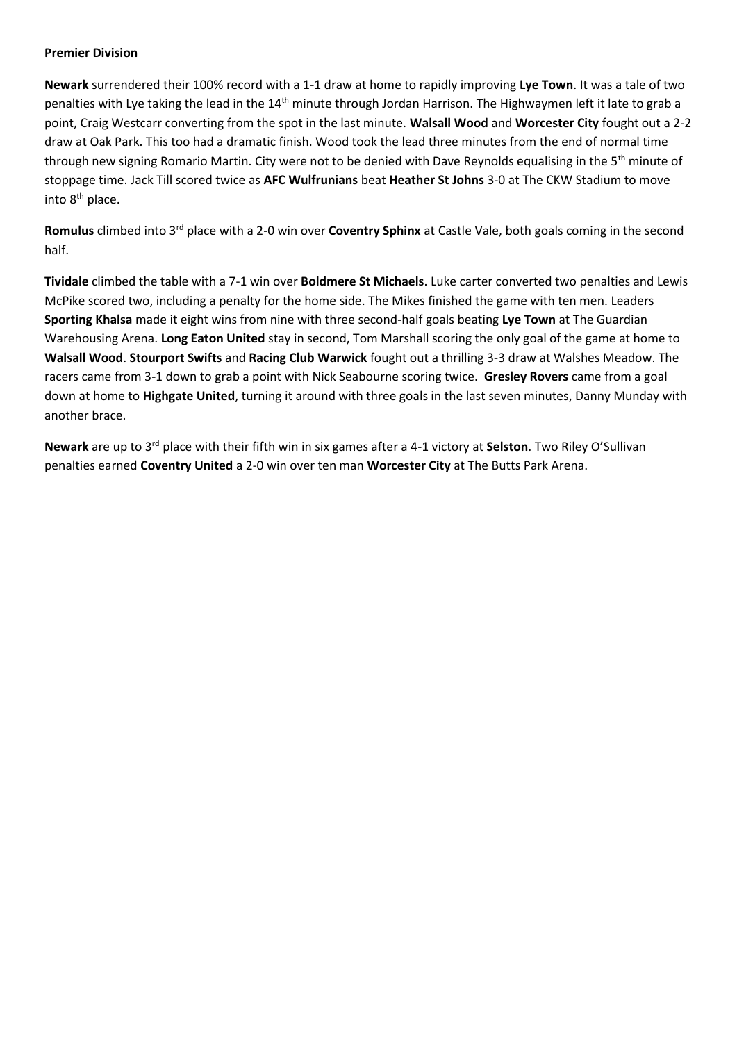#### **Premier Division**

**Newark** surrendered their 100% record with a 1-1 draw at home to rapidly improving **Lye Town**. It was a tale of two penalties with Lye taking the lead in the 14<sup>th</sup> minute through Jordan Harrison. The Highwaymen left it late to grab a point, Craig Westcarr converting from the spot in the last minute. **Walsall Wood** and **Worcester City** fought out a 2-2 draw at Oak Park. This too had a dramatic finish. Wood took the lead three minutes from the end of normal time through new signing Romario Martin. City were not to be denied with Dave Reynolds equalising in the 5<sup>th</sup> minute of stoppage time. Jack Till scored twice as **AFC Wulfrunians** beat **Heather St Johns** 3-0 at The CKW Stadium to move into 8<sup>th</sup> place.

**Romulus** climbed into 3rd place with a 2-0 win over **Coventry Sphinx** at Castle Vale, both goals coming in the second half.

**Tividale** climbed the table with a 7-1 win over **Boldmere St Michaels**. Luke carter converted two penalties and Lewis McPike scored two, including a penalty for the home side. The Mikes finished the game with ten men. Leaders **Sporting Khalsa** made it eight wins from nine with three second-half goals beating **Lye Town** at The Guardian Warehousing Arena. **Long Eaton United** stay in second, Tom Marshall scoring the only goal of the game at home to **Walsall Wood**. **Stourport Swifts** and **Racing Club Warwick** fought out a thrilling 3-3 draw at Walshes Meadow. The racers came from 3-1 down to grab a point with Nick Seabourne scoring twice. **Gresley Rovers** came from a goal down at home to **Highgate United**, turning it around with three goals in the last seven minutes, Danny Munday with another brace.

**Newark** are up to 3rd place with their fifth win in six games after a 4-1 victory at **Selston**. Two Riley O'Sullivan penalties earned **Coventry United** a 2-0 win over ten man **Worcester City** at The Butts Park Arena.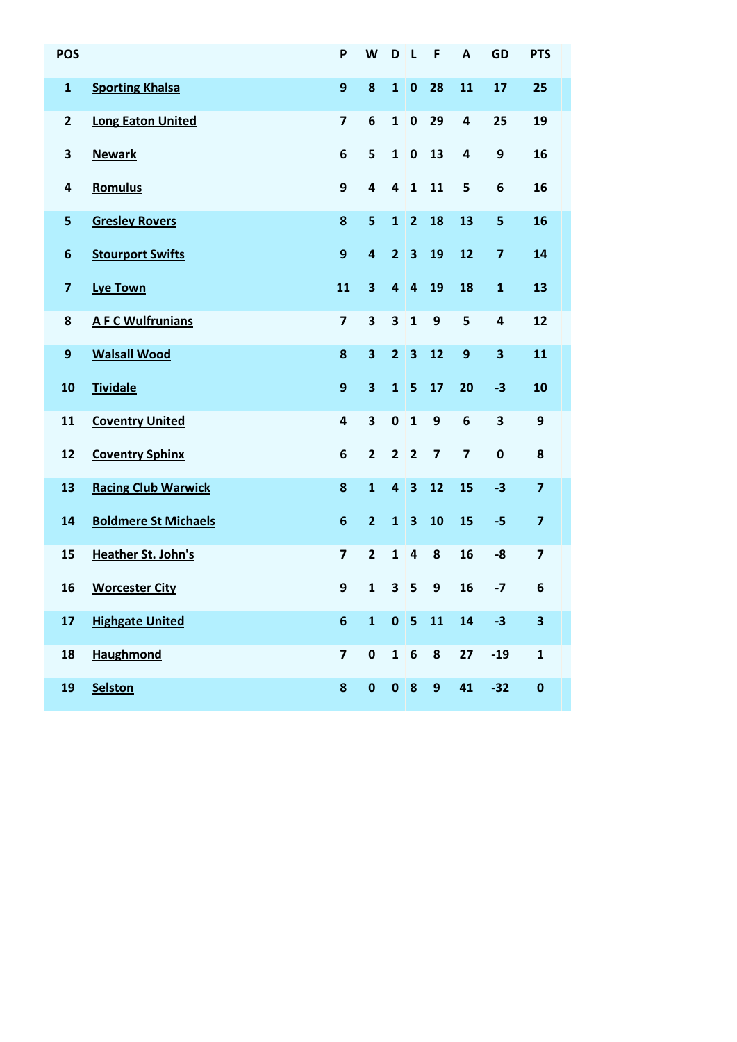| <b>POS</b>              |                             | P                       | W                       | D                       | $\mathsf{L}$            | F                       | $\overline{A}$          | <b>GD</b>               | <b>PTS</b>              |
|-------------------------|-----------------------------|-------------------------|-------------------------|-------------------------|-------------------------|-------------------------|-------------------------|-------------------------|-------------------------|
| $\mathbf{1}$            | <b>Sporting Khalsa</b>      | 9                       | 8                       | $\mathbf{1}$            | $\bf{0}$                | 28                      | 11                      | 17                      | 25                      |
| $\mathbf{2}$            | <b>Long Eaton United</b>    | $\overline{\mathbf{z}}$ | 6                       | $\mathbf{1}$            | $\mathbf 0$             | 29                      | 4                       | 25                      | 19                      |
| 3                       | <b>Newark</b>               | 6                       | 5                       | $\mathbf{1}$            | $\mathbf 0$             | 13                      | 4                       | 9                       | 16                      |
| 4                       | Romulus                     | 9                       | 4                       | $\overline{\mathbf{4}}$ | $\mathbf{1}$            | 11                      | 5                       | $6\phantom{1}$          | 16                      |
| 5                       | <b>Gresley Rovers</b>       | 8                       | 5                       | $\mathbf{1}$            | $\overline{2}$          | 18                      | 13                      | 5                       | 16                      |
| $\boldsymbol{6}$        | <b>Stourport Swifts</b>     | 9                       | $\overline{\mathbf{a}}$ | $\overline{2}$          | $\overline{\mathbf{3}}$ | 19                      | 12                      | $\overline{\mathbf{z}}$ | 14                      |
| $\overline{\mathbf{z}}$ | <b>Lye Town</b>             | 11                      | 3                       | 4                       | $\overline{\mathbf{4}}$ | 19                      | 18                      | $\mathbf{1}$            | 13                      |
| 8                       | <b>A F C Wulfrunians</b>    | $\overline{\mathbf{z}}$ | 3                       | 3                       | $\mathbf{1}$            | 9                       | 5                       | $\overline{\mathbf{4}}$ | 12                      |
| $\boldsymbol{9}$        | <b>Walsall Wood</b>         | 8                       | 3                       | $\overline{2}$          | $\overline{\mathbf{3}}$ | 12                      | 9                       | 3                       | 11                      |
| 10                      | <b>Tividale</b>             | 9                       | $\overline{\mathbf{3}}$ | $\mathbf{1}$            | 5                       | 17                      | 20                      | $-3$                    | 10                      |
| 11                      | <b>Coventry United</b>      | $\overline{\mathbf{a}}$ | 3                       | $\pmb{0}$               | $\mathbf{1}$            | 9                       | 6                       | $\overline{\mathbf{3}}$ | 9                       |
| 12                      | <b>Coventry Sphinx</b>      | 6                       | $\overline{2}$          | $\overline{2}$          | $\overline{2}$          | $\overline{\mathbf{z}}$ | $\overline{\mathbf{z}}$ | $\mathbf 0$             | 8                       |
| 13                      | <b>Racing Club Warwick</b>  | 8                       | $\mathbf{1}$            | $\overline{\mathbf{4}}$ | $\overline{\mathbf{3}}$ | 12                      | 15                      | $-3$                    | $\overline{\mathbf{z}}$ |
| 14                      | <b>Boldmere St Michaels</b> | $6\phantom{1}6$         | $\overline{2}$          | $\mathbf{1}$            | $\overline{\mathbf{3}}$ | 10                      | 15                      | $-5$                    | $\overline{\mathbf{z}}$ |
| 15                      | Heather St. John's          | $\overline{\mathbf{z}}$ | $\overline{2}$          | $\mathbf{1}$            | $\overline{\mathbf{4}}$ | 8                       | 16                      | $-8$                    | $\overline{\mathbf{z}}$ |
| 16                      | <b>Worcester City</b>       | 9                       | $\mathbf{1}$            | 3                       | 5                       | 9                       | 16                      | $-7$                    | 6                       |
| 17                      | <b>Highgate United</b>      | $6\phantom{a}$          | $\mathbf{1}$            |                         | $0 \mid 5$              | 11                      | 14                      | $-3$                    | $\overline{\mathbf{3}}$ |
| 18                      | <b>Haughmond</b>            | $\overline{\mathbf{z}}$ | $\mathbf 0$             | $1 \vert 6$             |                         | 8                       | 27                      | $-19$                   | $\mathbf{1}$            |
| 19                      | <b>Selston</b>              | 8                       | $\pmb{0}$               |                         | $0 \mid 8$              | $\mathbf{9}$            | 41                      | $-32$                   | $\mathbf 0$             |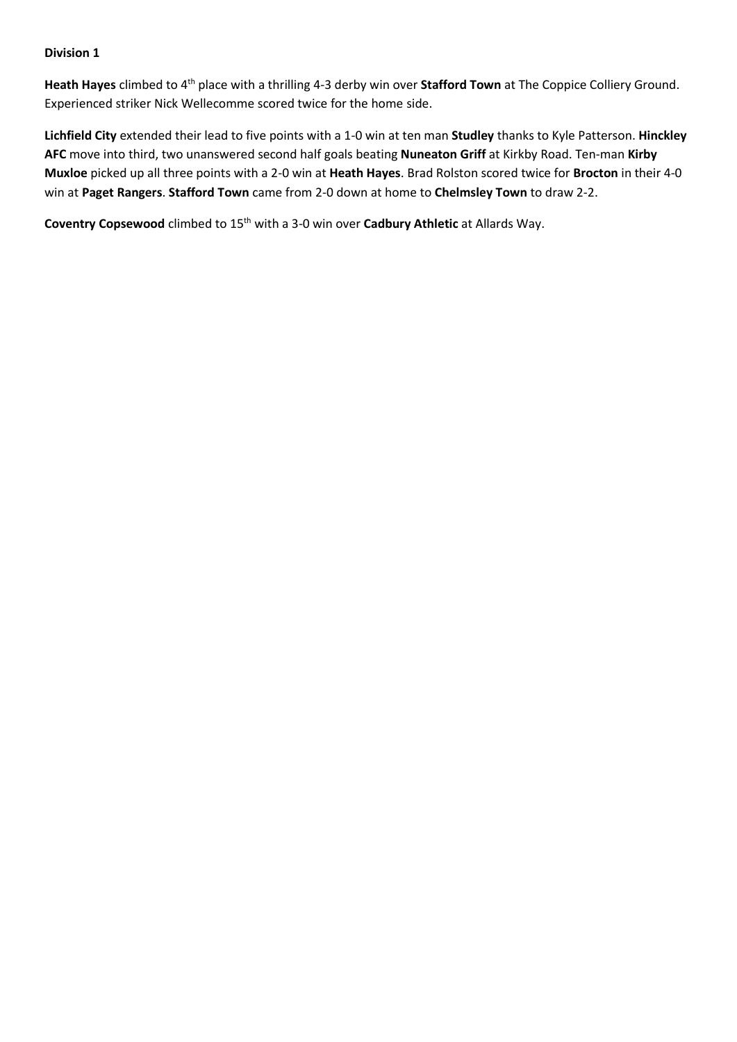**Heath Hayes** climbed to 4th place with a thrilling 4-3 derby win over **Stafford Town** at The Coppice Colliery Ground. Experienced striker Nick Wellecomme scored twice for the home side.

**Lichfield City** extended their lead to five points with a 1-0 win at ten man **Studley** thanks to Kyle Patterson. **Hinckley AFC** move into third, two unanswered second half goals beating **Nuneaton Griff** at Kirkby Road. Ten-man **Kirby Muxloe** picked up all three points with a 2-0 win at **Heath Hayes**. Brad Rolston scored twice for **Brocton** in their 4-0 win at **Paget Rangers**. **Stafford Town** came from 2-0 down at home to **Chelmsley Town** to draw 2-2.

**Coventry Copsewood** climbed to 15<sup>th</sup> with a 3-0 win over **Cadbury Athletic** at Allards Way.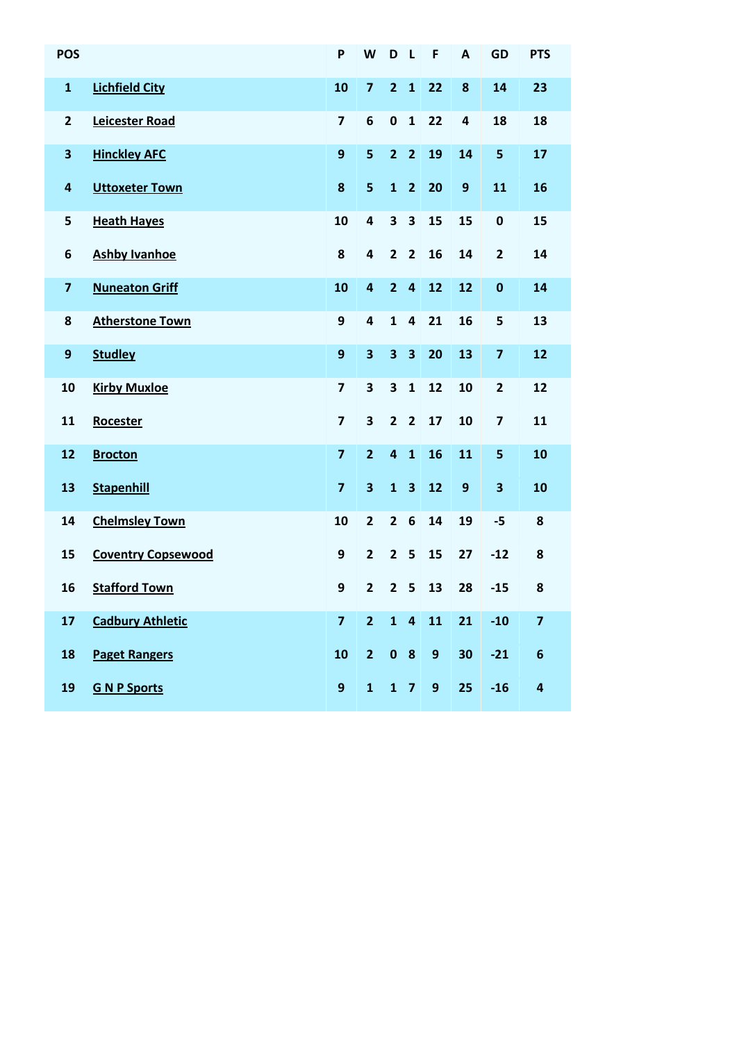| <b>POS</b>              |                           | P                       | W                       | D                       | $\mathbf{L}$            | F                | A            | <b>GD</b>               | <b>PTS</b>              |
|-------------------------|---------------------------|-------------------------|-------------------------|-------------------------|-------------------------|------------------|--------------|-------------------------|-------------------------|
| $\mathbf{1}$            | <b>Lichfield City</b>     | 10                      | $\overline{\mathbf{z}}$ | $\overline{2}$          | $\mathbf{1}$            | 22               | 8            | 14                      | 23                      |
| $\mathbf{2}$            | <b>Leicester Road</b>     | $\overline{\mathbf{z}}$ | 6                       | $\pmb{0}$               | $\mathbf{1}$            | 22               | 4            | 18                      | 18                      |
| $\overline{\mathbf{3}}$ | <b>Hinckley AFC</b>       | 9                       | 5                       | $\overline{2}$          | $\overline{2}$          | 19               | 14           | 5                       | 17                      |
| $\overline{\mathbf{4}}$ | <b>Uttoxeter Town</b>     | 8                       | 5                       | $\mathbf{1}$            | $\overline{2}$          | 20               | $\mathbf{9}$ | 11                      | 16                      |
| 5                       | <b>Heath Hayes</b>        | 10                      | 4                       | 3                       | $\overline{\mathbf{3}}$ | 15               | 15           | $\mathbf 0$             | 15                      |
| 6                       | <b>Ashby Ivanhoe</b>      | 8                       | $\overline{\mathbf{4}}$ | $\overline{2}$          | $\overline{2}$          | 16               | 14           | $\overline{\mathbf{2}}$ | 14                      |
| $\overline{\mathbf{z}}$ | <b>Nuneaton Griff</b>     | 10                      | 4                       | $\overline{2}$          | $\overline{\mathbf{4}}$ | 12               | 12           | $\bf{0}$                | 14                      |
| 8                       | <b>Atherstone Town</b>    | 9                       | 4                       | $\mathbf{1}$            | $\overline{\mathbf{4}}$ | 21               | 16           | 5                       | 13                      |
| $\boldsymbol{9}$        | <b>Studley</b>            | $\mathbf{9}$            | 3                       | $\overline{\mathbf{3}}$ | $\overline{\mathbf{3}}$ | 20               | 13           | $\overline{\mathbf{z}}$ | 12                      |
| 10                      | <b>Kirby Muxloe</b>       | $\overline{\mathbf{z}}$ | 3                       | $\overline{\mathbf{3}}$ | $\mathbf{1}$            | 12               | 10           | $\overline{\mathbf{2}}$ | 12                      |
| 11                      | <b>Rocester</b>           | $\overline{\mathbf{z}}$ | 3                       | $\overline{2}$          | $\overline{2}$          | 17               | 10           | $\overline{\mathbf{z}}$ | 11                      |
| 12                      | <b>Brocton</b>            | $\overline{\mathbf{z}}$ | $\overline{2}$          | $\overline{\mathbf{4}}$ | $\mathbf{1}$            | 16               | 11           | 5                       | 10                      |
| 13                      | <b>Stapenhill</b>         | $\overline{\mathbf{z}}$ | 3                       | $\mathbf{1}$            | $\overline{\mathbf{3}}$ | 12               | $\mathbf{9}$ | 3                       | 10                      |
| 14                      | <b>Chelmsley Town</b>     | 10                      | $\overline{2}$          | $\overline{2}$          | $\boldsymbol{6}$        | 14               | 19           | $-5$                    | 8                       |
| 15                      | <b>Coventry Copsewood</b> | 9                       | $\overline{2}$          | $\overline{2}$          | 5                       | 15               | 27           | $-12$                   | 8                       |
| 16                      | <b>Stafford Town</b>      | 9                       | $\overline{2}$          | $\overline{2}$          | 5                       | 13               | 28           | $-15$                   | 8                       |
| 17                      | <b>Cadbury Athletic</b>   | $\overline{\mathbf{z}}$ | $\overline{2}$          | $\mathbf{1}$            | $\overline{\mathbf{4}}$ | 11               | 21           | $-10$                   | $\overline{\mathbf{z}}$ |
| 18                      | <b>Paget Rangers</b>      | 10                      | $\overline{2}$          |                         | 0 <sub>8</sub>          | $\boldsymbol{9}$ | 30           | $-21$                   | 6                       |
| 19                      | <b>G N P Sports</b>       | 9                       | $\mathbf{1}$            |                         | $1 \quad 7$             | $\overline{9}$   | 25           | $-16$                   | 4                       |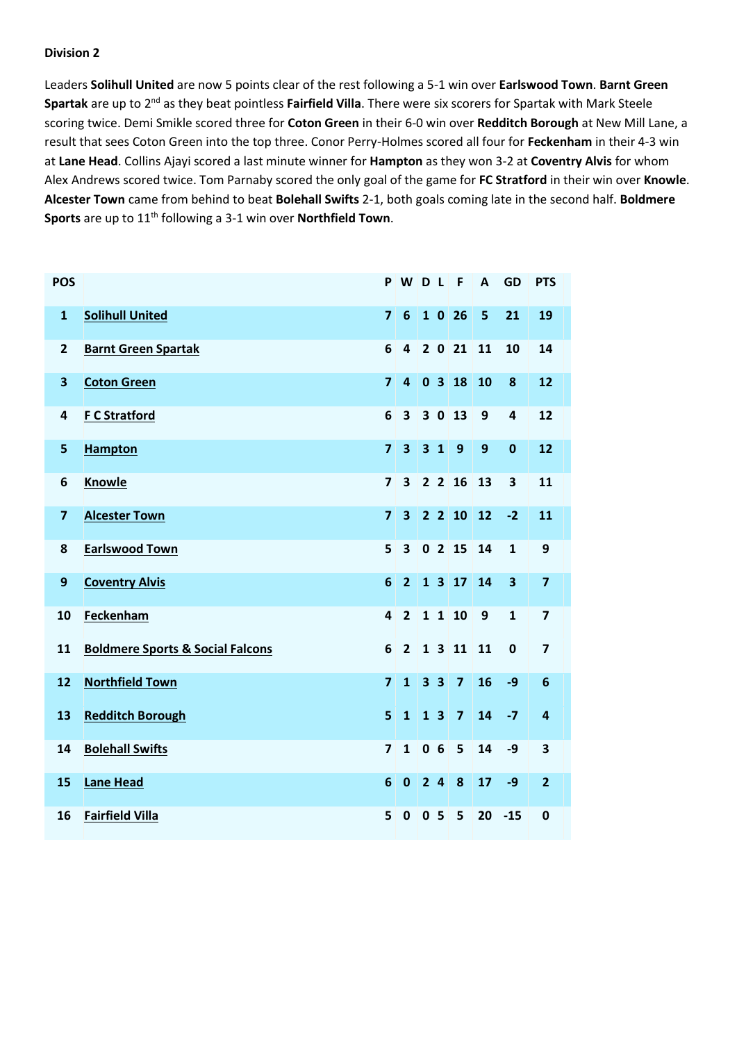Leaders **Solihull United** are now 5 points clear of the rest following a 5-1 win over **Earlswood Town**. **Barnt Green Spartak** are up to 2nd as they beat pointless **Fairfield Villa**. There were six scorers for Spartak with Mark Steele scoring twice. Demi Smikle scored three for **Coton Green** in their 6-0 win over **Redditch Borough** at New Mill Lane, a result that sees Coton Green into the top three. Conor Perry-Holmes scored all four for **Feckenham** in their 4-3 win at **Lane Head**. Collins Ajayi scored a last minute winner for **Hampton** as they won 3-2 at **Coventry Alvis** for whom Alex Andrews scored twice. Tom Parnaby scored the only goal of the game for **FC Stratford** in their win over **Knowle**. **Alcester Town** came from behind to beat **Bolehall Swifts** 2-1, both goals coming late in the second half. **Boldmere Sports** are up to 11th following a 3-1 win over **Northfield Town**.

| <b>POS</b>              |                                             | P                       | WDL                     |                |                | $\mathsf{F}$         | $\mathbf{A}$ | <b>GD</b>               | <b>PTS</b>              |
|-------------------------|---------------------------------------------|-------------------------|-------------------------|----------------|----------------|----------------------|--------------|-------------------------|-------------------------|
| $\mathbf{1}$            | <b>Solihull United</b>                      | $\overline{7}$          | $6\phantom{1}6$         |                |                | 1026                 | 5            | 21                      | 19                      |
| $\overline{\mathbf{c}}$ | <b>Barnt Green Spartak</b>                  | 6                       | $\overline{\mathbf{4}}$ |                |                | 202111               |              | 10                      | 14                      |
| 3                       | <b>Coton Green</b>                          | $\overline{7}$          | $\overline{4}$          |                |                | 0318                 | 10           | 8                       | 12                      |
| 4                       | <b>F C Stratford</b>                        | 6                       | $\overline{\mathbf{3}}$ |                | 30             | 13                   | 9            | 4                       | 12                      |
| 5                       | <b>Hampton</b>                              | $\overline{7}$          | $\overline{\mathbf{3}}$ |                | $3 \quad 1$    | $\overline{9}$       | 9            | $\mathbf 0$             | 12                      |
| 6                       | <b>Knowle</b>                               | $\overline{7}$          | $\overline{\mathbf{3}}$ |                |                | $2 \quad 2 \quad 16$ | 13           | $\overline{\mathbf{3}}$ | 11                      |
| $\overline{7}$          | <b>Alcester Town</b>                        | $\overline{7}$          | 3 <sup>1</sup>          |                |                | $2 \t2 \t10 \t12$    |              | $-2$                    | 11                      |
| 8                       | <b>Earlswood Town</b>                       | 5                       | $\overline{\mathbf{3}}$ |                |                | 0215                 | 14           | $\mathbf{1}$            | 9                       |
| $\boldsymbol{9}$        | <b>Coventry Alvis</b>                       | $6\phantom{1}$          | $\overline{2}$          |                |                | $1317$               | 14           | $\overline{\mathbf{3}}$ | $\overline{7}$          |
| 10                      | Feckenham                                   | $\overline{\mathbf{4}}$ | $\overline{2}$          |                |                | 1110                 | 9            | $\mathbf{1}$            | $\overline{7}$          |
| 11                      | <b>Boldmere Sports &amp; Social Falcons</b> | 6                       | $\overline{2}$          |                |                | 1 3 11 11            |              | $\bf{0}$                | $\overline{\mathbf{z}}$ |
| 12                      | <b>Northfield Town</b>                      | $\overline{7}$          | $\mathbf{1}$            | 3 <sub>3</sub> |                | $\overline{7}$       | 16           | $-9$                    | $6\phantom{1}6$         |
| 13                      | <b>Redditch Borough</b>                     | 5                       | $\mathbf{1}$            |                | 1 <sub>3</sub> | $\overline{7}$       | 14           | $-7$                    | $\overline{4}$          |
| 14                      | <b>Bolehall Swifts</b>                      | $\overline{7}$          | $\mathbf{1}$            | 0 <sub>6</sub> |                | 5                    | 14           | $-9$                    | 3                       |
| 15                      | <b>Lane Head</b>                            | 6                       | $\mathbf 0$             | 24             |                | 8                    | 17           | $-9$                    | $\overline{2}$          |
| 16                      | <b>Fairfield Villa</b>                      | 5                       | $\mathbf 0$             | 0 <sub>5</sub> |                | 5                    | 20           | $-15$                   | 0                       |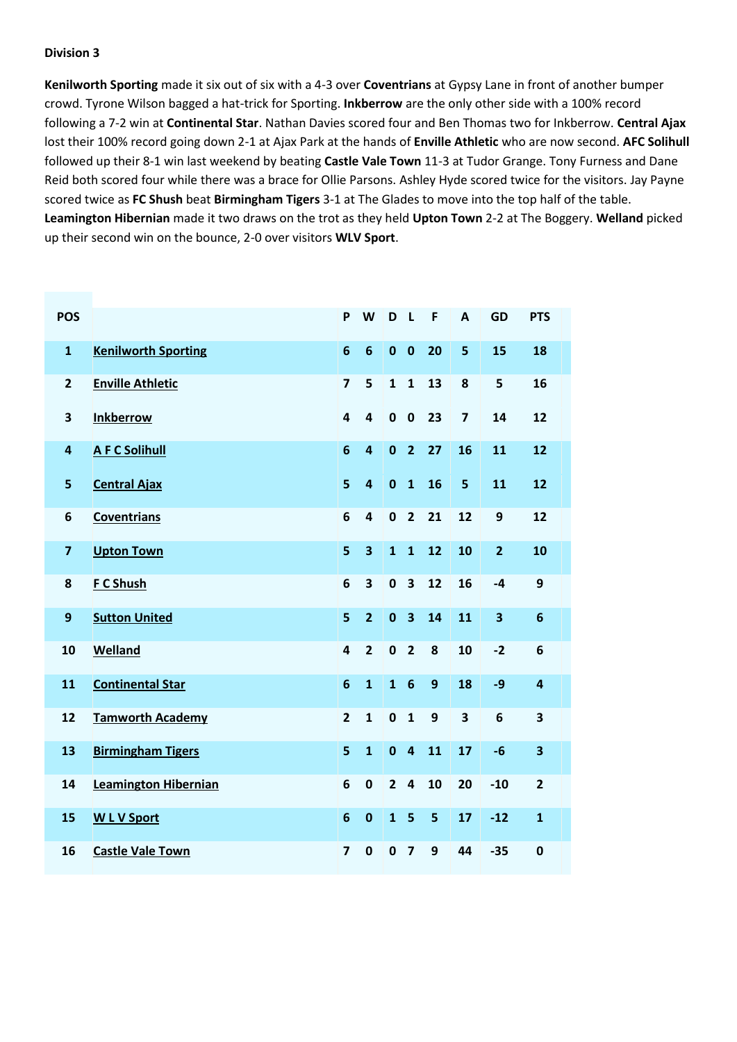**Kenilworth Sporting** made it six out of six with a 4-3 over **Coventrians** at Gypsy Lane in front of another bumper crowd. Tyrone Wilson bagged a hat-trick for Sporting. **Inkberrow** are the only other side with a 100% record following a 7-2 win at **Continental Star**. Nathan Davies scored four and Ben Thomas two for Inkberrow. **Central Ajax** lost their 100% record going down 2-1 at Ajax Park at the hands of **Enville Athletic** who are now second. **AFC Solihull** followed up their 8-1 win last weekend by beating **Castle Vale Town** 11-3 at Tudor Grange. Tony Furness and Dane Reid both scored four while there was a brace for Ollie Parsons. Ashley Hyde scored twice for the visitors. Jay Payne scored twice as **FC Shush** beat **Birmingham Tigers** 3-1 at The Glades to move into the top half of the table. **Leamington Hibernian** made it two draws on the trot as they held **Upton Town** 2-2 at The Boggery. **Welland** picked up their second win on the bounce, 2-0 over visitors **WLV Sport**.

| <b>POS</b>              |                             | P                       | W                       | D              | L                       | F            | A                       | <b>GD</b>               | <b>PTS</b>     |
|-------------------------|-----------------------------|-------------------------|-------------------------|----------------|-------------------------|--------------|-------------------------|-------------------------|----------------|
| $\mathbf{1}$            | <b>Kenilworth Sporting</b>  | $6\phantom{1}6$         | $6\phantom{1}6$         | $\mathbf 0$    | $\bf{0}$                | 20           | 5                       | 15                      | 18             |
| $\overline{2}$          | <b>Enville Athletic</b>     | $\overline{\mathbf{z}}$ | 5                       | $\mathbf{1}$   | $\mathbf{1}$            | 13           | 8                       | 5                       | 16             |
| 3                       | <b>Inkberrow</b>            | 4                       | $\overline{\mathbf{4}}$ | $\mathbf 0$    | $\mathbf 0$             | 23           | $\overline{\mathbf{z}}$ | 14                      | 12             |
| 4                       | <b>A F C Solihull</b>       | $6\phantom{1}6$         | $\overline{\mathbf{a}}$ | $\bf{0}$       | $\overline{2}$          | 27           | 16                      | 11                      | 12             |
| 5                       | <b>Central Ajax</b>         | 5                       | $\overline{\mathbf{4}}$ | $\mathbf 0$    | $\mathbf{1}$            | 16           | 5                       | 11                      | 12             |
| 6                       | <b>Coventrians</b>          | 6                       | $\overline{\mathbf{4}}$ | $\mathbf 0$    | $\overline{2}$          | 21           | 12                      | 9                       | 12             |
| $\overline{\mathbf{z}}$ | <b>Upton Town</b>           | 5                       | $\overline{\mathbf{3}}$ | $\mathbf{1}$   | $\mathbf{1}$            | 12           | 10                      | $\overline{2}$          | 10             |
| 8                       | F C Shush                   | 6                       | 3                       | $\mathbf 0$    | $\overline{\mathbf{3}}$ | 12           | 16                      | $-4$                    | 9              |
| $\boldsymbol{9}$        | <b>Sutton United</b>        | 5                       | $\overline{2}$          | $\mathbf 0$    | $\overline{\mathbf{3}}$ | 14           | 11                      | $\overline{\mathbf{3}}$ | $6\phantom{1}$ |
| 10                      | Welland                     | 4                       | $\overline{2}$          | $\mathbf 0$    | $\overline{2}$          | 8            | 10                      | $-2$                    | 6              |
| 11                      | <b>Continental Star</b>     | 6                       | $\mathbf{1}$            | $\overline{1}$ | $6\phantom{1}6$         | $\mathbf{9}$ | 18                      | $-9$                    | 4              |
| 12                      | <b>Tamworth Academy</b>     | $\overline{2}$          | $\mathbf{1}$            | $\mathbf 0$    | $\mathbf{1}$            | $\mathbf{9}$ | 3                       | 6                       | 3              |
| 13                      | <b>Birmingham Tigers</b>    | 5                       | $\mathbf{1}$            | $\mathbf 0$    | $\overline{\mathbf{4}}$ | 11           | 17                      | $-6$                    | 3              |
| 14                      | <b>Leamington Hibernian</b> | 6                       | $\pmb{0}$               | $\overline{2}$ | $\overline{\mathbf{4}}$ | 10           | 20                      | $-10$                   | $\overline{2}$ |
| 15                      | <b>WLV Sport</b>            | $6\phantom{1}6$         | $\bf{0}$                | $\mathbf{1}$   | 5                       | 5            | 17                      | $-12$                   | $\mathbf{1}$   |
| 16                      | <b>Castle Vale Town</b>     | $\overline{\mathbf{z}}$ | $\mathbf 0$             | $\mathbf 0$    | $\overline{\mathbf{z}}$ | 9            | 44                      | $-35$                   | 0              |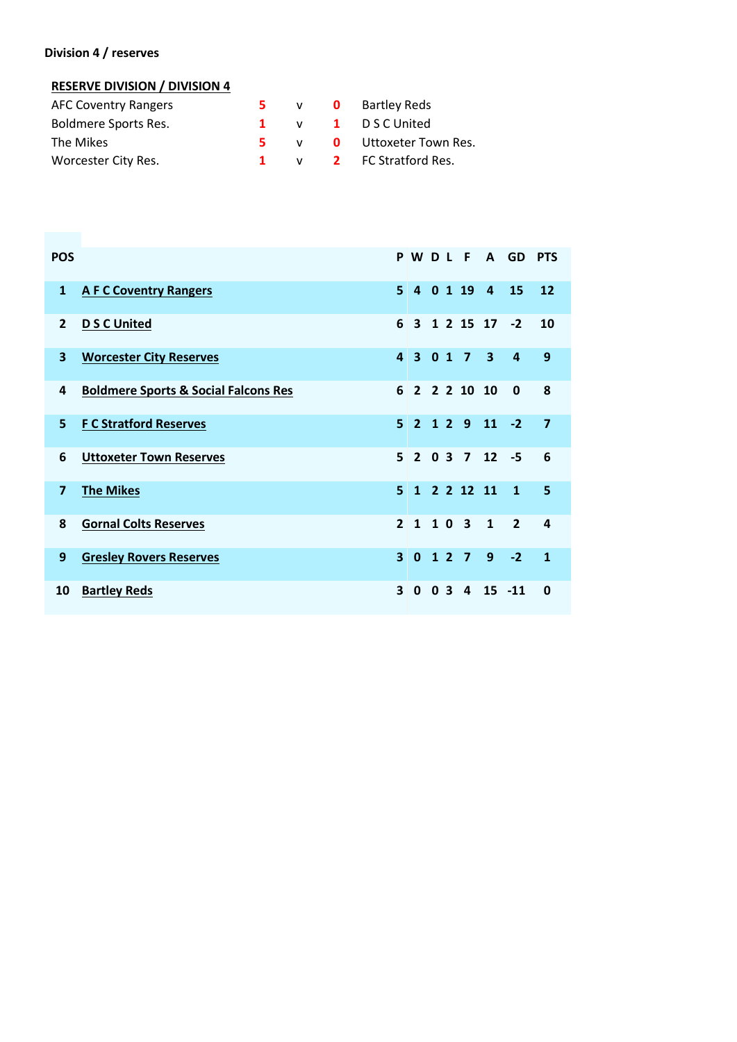#### **Division 4 / reserves**

#### **RESERVE DIVISION / DIVISION 4**

| <b>AFC Coventry Rangers</b> |  | 5 v 0 Bartley Reds        |
|-----------------------------|--|---------------------------|
| Boldmere Sports Res.        |  | 1 v 1 DSCUnited           |
| The Mikes                   |  | 5 v 0 Uttoxeter Town Res. |
| Worcester City Res.         |  | 1 v 2 FC Stratford Res.   |

| <b>POS</b>              |                                                 |                | PWDLF                               |                |                         |                         | A GD           | <b>PTS</b>              |
|-------------------------|-------------------------------------------------|----------------|-------------------------------------|----------------|-------------------------|-------------------------|----------------|-------------------------|
| $\mathbf{1}$            | <b>A F C Coventry Rangers</b>                   | 5 <sup>1</sup> |                                     |                | 4 0 1 19 4              |                         | 15             | 12                      |
| $\overline{2}$          | <b>D S C United</b>                             | 6              |                                     |                |                         | 3 1 2 15 17 -2          |                | 10                      |
| $\overline{\mathbf{3}}$ | <b>Worcester City Reserves</b>                  | $\mathbf{A}$   | 3 0 1 7                             |                |                         | $\overline{\mathbf{3}}$ | $\overline{a}$ | 9                       |
| 4                       | <b>Boldmere Sports &amp; Social Falcons Res</b> | $6 \mid$       |                                     |                | 2 2 2 10 10             |                         | 0              | 8                       |
| 5                       | <b>F C Stratford Reserves</b>                   |                | $5 \quad 2 \quad 1 \quad 2 \quad 9$ |                |                         | $11 - 2$                |                | $\overline{\mathbf{z}}$ |
| 6                       | <b>Uttoxeter Town Reserves</b>                  |                |                                     |                |                         | $5$ 2 0 3 7 12 -5       |                | 6                       |
| $\overline{7}$          | <b>The Mikes</b>                                |                |                                     |                | 5 1 2 2 12 11           |                         | $\mathbf{1}$   | 5                       |
| 8                       | <b>Gornal Colts Reserves</b>                    | $\mathbf{P}$   | 1 1 0 3                             |                |                         | $\mathbf{1}$            | $\overline{2}$ | 4                       |
| 9                       | <b>Gresley Rovers Reserves</b>                  | $\mathbf{R}$   | $\Omega$                            |                | $127$                   | 9 <sup>°</sup>          | $-2$           | $\mathbf{1}$            |
| 10                      | <b>Bartley Reds</b>                             | 3              | 0                                   | 0 <sup>3</sup> | $\overline{\mathbf{a}}$ | $15 - 11$               |                | 0                       |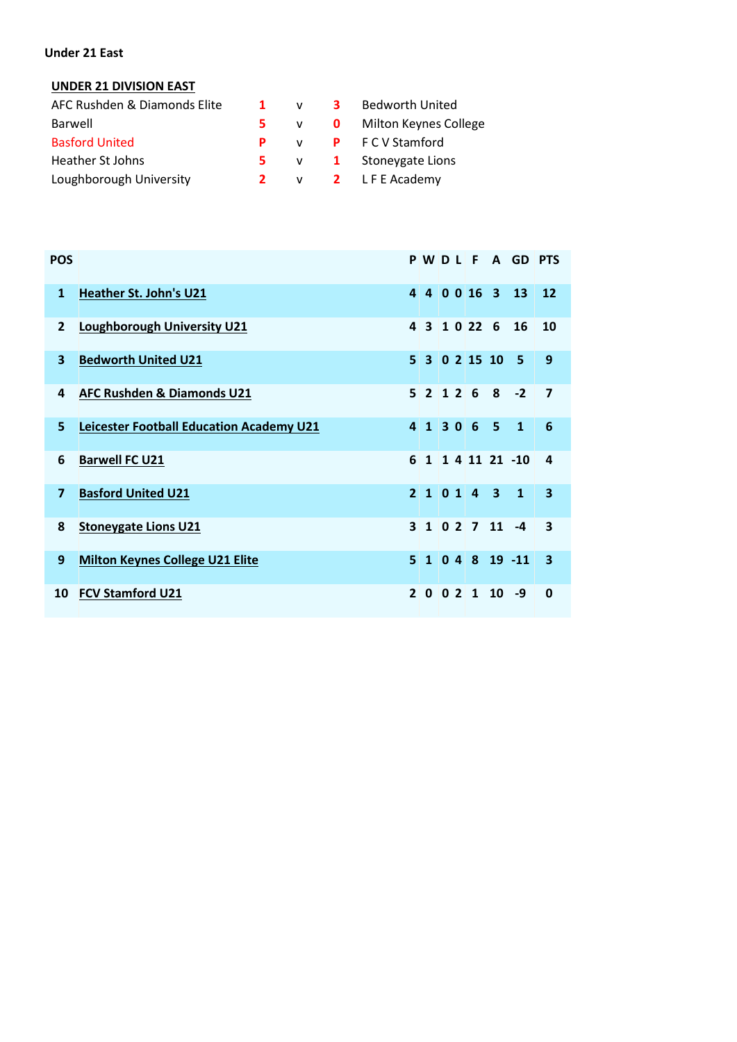#### **Under 21 East**

#### **UNDER 21 DIVISION EAST**

| AFC Rushden & Diamonds Elite | $\blacksquare$ | v            | $\mathbf{3}$ | Bedworth United                  |
|------------------------------|----------------|--------------|--------------|----------------------------------|
| Barwell                      | 5.             |              |              | v <b>0</b> Milton Keynes College |
| <b>Basford United</b>        | P.             | $\mathbf{v}$ |              | <b>P</b> FCV Stamford            |
| Heather St Johns             | 5.             |              |              | $v = 1$ Stoneygate Lions         |
| Loughborough University      | $\mathbf{2}$   |              |              | v <b>2</b> LFE Academy           |

| <b>POS</b>              |                                                 |       |  |              |                               | PWDLF A GD PTS     |                         |  |
|-------------------------|-------------------------------------------------|-------|--|--------------|-------------------------------|--------------------|-------------------------|--|
| $\mathbf{1}$            | <b>Heather St. John's U21</b>                   |       |  |              |                               | 4 4 0 0 16 3 13    | <b>12</b>               |  |
| $\overline{2}$          | <b>Loughborough University U21</b>              |       |  | 4 3 1 0 22 6 |                               | 16                 | 10                      |  |
| $\mathbf{3}$            | <b>Bedworth United U21</b>                      |       |  |              | $5$ 3 0 2 15 10 5             |                    | 9                       |  |
| 4                       | <b>AFC Rushden &amp; Diamonds U21</b>           |       |  |              | $5$ 2 1 2 6 8 -2              |                    | 7                       |  |
| 5                       | <b>Leicester Football Education Academy U21</b> | 41306 |  |              | $-5$                          | $\mathbf{1}$       | 6                       |  |
| 6                       | <b>Barwell FC U21</b>                           |       |  |              |                               | 6 1 1 4 11 21 -10  | 4                       |  |
| $\overline{\mathbf{z}}$ | <b>Basford United U21</b>                       |       |  |              | 2101431                       |                    | $\overline{\mathbf{3}}$ |  |
| 8                       | <b>Stoneygate Lions U21</b>                     |       |  |              | $3 \ 1 \ 0 \ 2 \ 7 \ 11 \ -4$ |                    | $\overline{\mathbf{3}}$ |  |
| 9                       | <b>Milton Keynes College U21 Elite</b>          |       |  |              |                               | $5$ 1 0 4 8 19 -11 | 3                       |  |
| 10                      | <b>FCV Stamford U21</b>                         |       |  |              | $2 \ 0 \ 0 \ 2 \ 1 \ 10 \ -9$ |                    | $\mathbf{0}$            |  |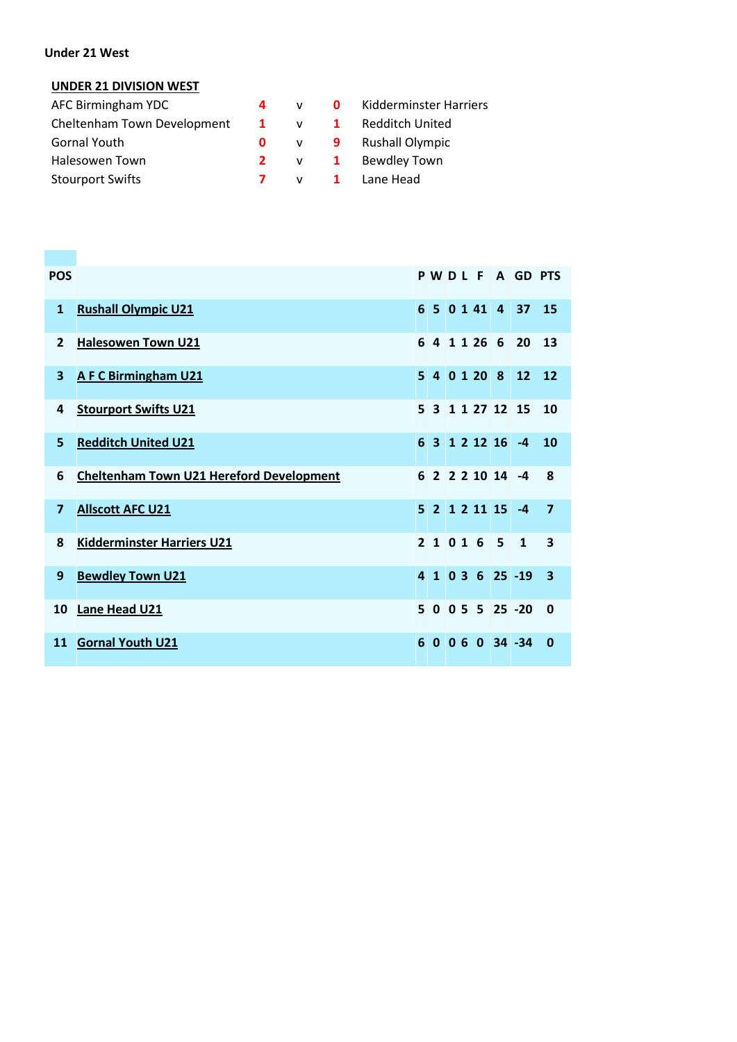#### **Under 21 West**

#### **UNDER 21 DIVISION WEST**

| AFC Birmingham YDC          | 4            |              | <b>0</b> Kidderminster Harriers |
|-----------------------------|--------------|--------------|---------------------------------|
| Cheltenham Town Development | $\mathbf{1}$ | $\mathsf{v}$ | 1 Redditch United               |
| <b>Gornal Youth</b>         | 0            |              | v 9 Rushall Olympic             |
| Halesowen Town              | 2            | $v = 1$      | Bewdley Town                    |
| <b>Stourport Swifts</b>     |              |              | v <b>1</b> Lane Head            |

| <b>POS</b>     |                                                 |             |  |                          | PWDLFAGDPTS                    |                         |
|----------------|-------------------------------------------------|-------------|--|--------------------------|--------------------------------|-------------------------|
| 1              | <b>Rushall Olympic U21</b>                      |             |  |                          | $6$ 5 0 1 41 4 37              | 15                      |
| $\overline{2}$ | <b>Halesowen Town U21</b>                       |             |  |                          | 6 4 1 1 26 6 20                | 13                      |
| 3              | <b>AFC Birmingham U21</b>                       |             |  |                          | 5 4 0 1 20 8 12                | 12                      |
| 4              | <b>Stourport Swifts U21</b>                     |             |  |                          | 5 3 1 1 27 12 15               | 10                      |
| 5              | <b>Redditch United U21</b>                      |             |  | 6 3 1 2 12 16 -4         |                                | 10                      |
| 6              | <b>Cheltenham Town U21 Hereford Development</b> |             |  | 6 2 2 2 10 14 -4         |                                | 8                       |
| 7              | <b>Allscott AFC U21</b>                         |             |  | $5$ 2 1 2 11 15 $-4$     |                                | $\overline{7}$          |
| 8              | <b>Kidderminster Harriers U21</b>               | 21016       |  | $\overline{\phantom{0}}$ | $\mathbf{1}$                   | 3                       |
| 9              | <b>Bewdley Town U21</b>                         |             |  |                          | $4$ 1 0 3 6 25 -19             | $\overline{\mathbf{3}}$ |
| 10             | Lane Head U21                                   |             |  |                          | $5 \t0 \t0 \t5 \t5 \t25 \t-20$ | $\mathbf 0$             |
| 11             | <b>Gornal Youth U21</b>                         | $6 \vert 0$ |  |                          | $ 060 34 $ -34                 | $\mathbf{0}$            |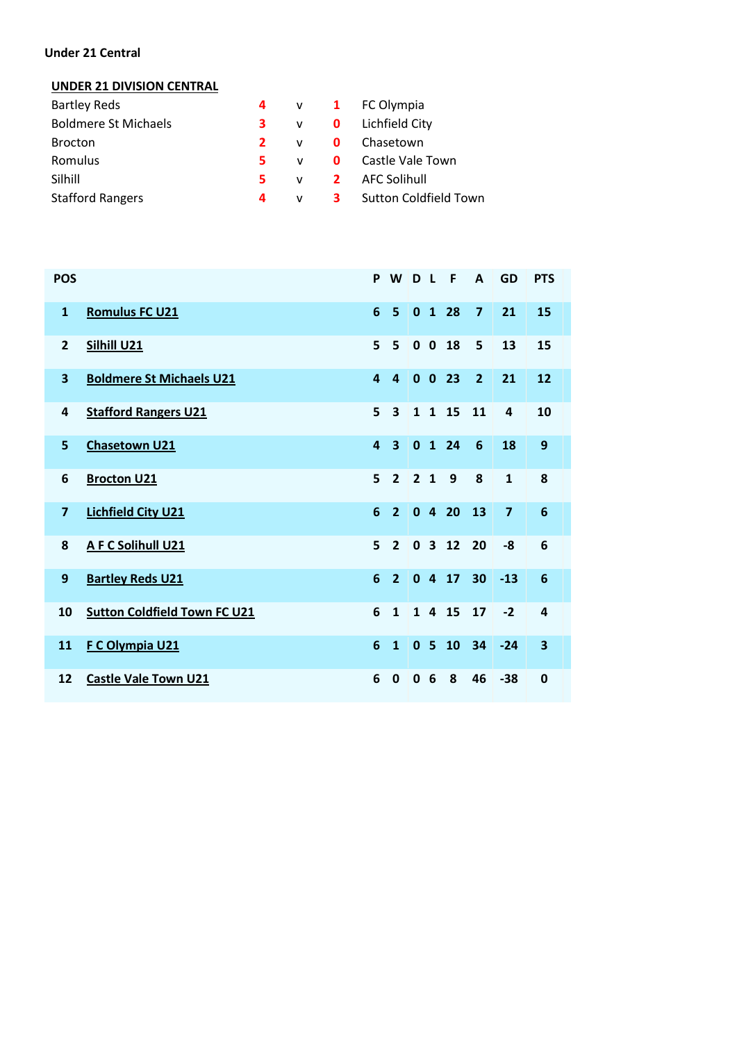#### **Under 21 Central**

#### **UNDER 21 DIVISION CENTRAL**

| <b>Bartley Reds</b>         |             |              | 4 v 1 FC Olympia               |
|-----------------------------|-------------|--------------|--------------------------------|
| <b>Boldmere St Michaels</b> | з.          |              | v <b>0</b> Lichfield City      |
| <b>Brocton</b>              | $2^{\circ}$ | <b>V</b>     | <b>O</b> Chasetown             |
| Romulus                     | 5.          |              | v <b>0</b> Castle Vale Town    |
| Silhill                     | 5.          | $\mathbf{V}$ | <b>2</b> AFC Solihull          |
| <b>Stafford Rangers</b>     | 4           | <b>V</b>     | <b>3</b> Sutton Coldfield Town |

| <b>POS</b>     |                                     | P                       | W                       | D L            |                         | - F          | A              | GD             | <b>PTS</b>              |
|----------------|-------------------------------------|-------------------------|-------------------------|----------------|-------------------------|--------------|----------------|----------------|-------------------------|
| $\mathbf{1}$   | <b>Romulus FC U21</b>               | 6                       | 5                       | $\mathbf{0}$   |                         | 1 28         | $\overline{7}$ | 21             | 15                      |
| $\overline{2}$ | Silhill U21                         | 5                       | 5                       |                |                         | $0$ 0 18     | 5              | 13             | 15                      |
| 3              | <b>Boldmere St Michaels U21</b>     | $\overline{4}$          | $\overline{4}$          |                |                         | $0$ 0 23     | $\overline{2}$ | 21             | 12                      |
| 4              | <b>Stafford Rangers U21</b>         | 5                       | 3                       | $\mathbf{1}$   | $\overline{\mathbf{1}}$ | 15           | 11             | 4              | 10                      |
| 5              | <b>Chasetown U21</b>                | $\overline{\mathbf{4}}$ | $\overline{\mathbf{3}}$ | $\mathbf{0}$   |                         | 1 24         | 6              | 18             | 9                       |
| 6              | <b>Brocton U21</b>                  | 5                       | $\overline{2}$          | 2 <sub>1</sub> |                         | 9            | 8              | $\mathbf{1}$   | 8                       |
| $\overline{7}$ | <b>Lichfield City U21</b>           | 6                       | $\overline{2}$          | $\mathbf{0}$   | $\overline{4}$          | 20           | 13             | $\overline{7}$ | $6\phantom{1}6$         |
| 8              | A F C Solihull U21                  | 5                       | $\overline{2}$          | $\mathbf{0}$   |                         | $3 \quad 12$ | 20             | -8             | 6                       |
| 9              | <b>Bartley Reds U21</b>             | 6                       | $\overline{2}$          |                |                         | $0$ 4 17     | 30             | $-13$          | $6\phantom{1}6$         |
| 10             | <b>Sutton Coldfield Town FC U21</b> | 6                       | $\mathbf{1}$            |                |                         | 1 4 15       | 17             | $-2$           | 4                       |
| 11             | F C Olympia U21                     | 6                       | $\mathbf{1}$            |                | 0 <sub>5</sub>          | 10           | 34             | $-24$          | $\overline{\mathbf{3}}$ |
| 12             | <b>Castle Vale Town U21</b>         | 6                       | $\mathbf 0$             | $\mathbf{0}$   | 6                       | 8            | 46             | $-38$          | $\mathbf 0$             |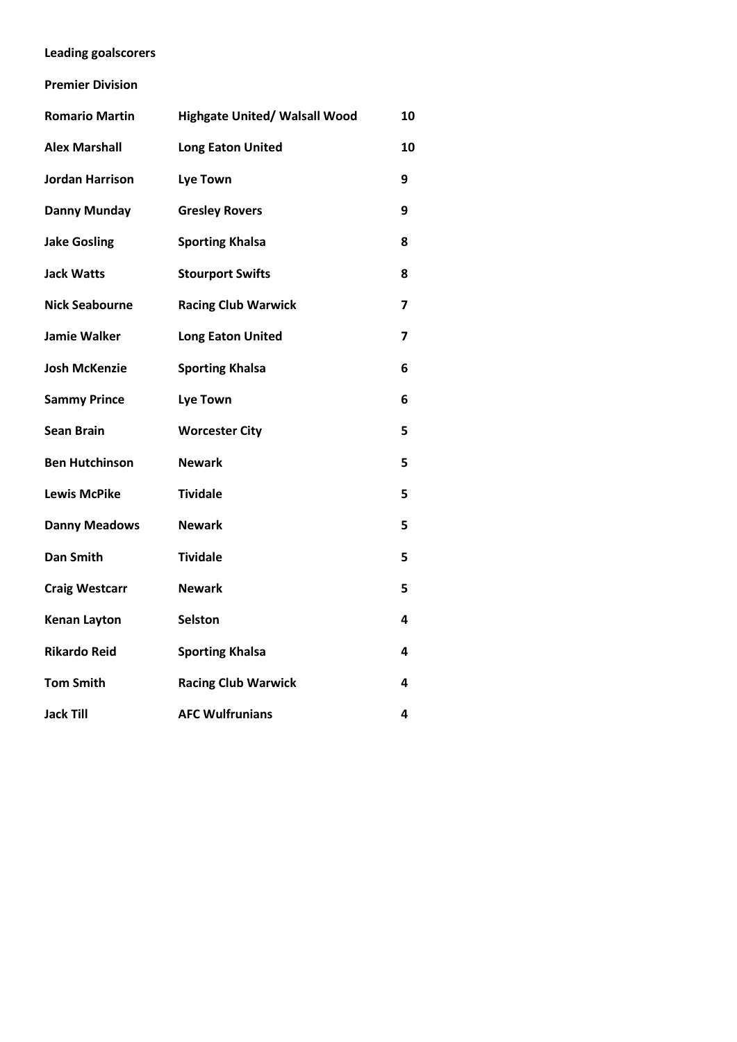**Leading goalscorers**

**Premier Division**

| <b>Romario Martin</b> | <b>Highgate United/ Walsall Wood</b> | 10 |
|-----------------------|--------------------------------------|----|
| <b>Alex Marshall</b>  | <b>Long Eaton United</b>             | 10 |
| Jordan Harrison       | <b>Lye Town</b>                      | 9  |
| <b>Danny Munday</b>   | <b>Gresley Rovers</b>                | 9  |
| <b>Jake Gosling</b>   | <b>Sporting Khalsa</b>               | 8  |
| <b>Jack Watts</b>     | <b>Stourport Swifts</b>              | 8  |
| <b>Nick Seabourne</b> | <b>Racing Club Warwick</b>           | 7  |
| <b>Jamie Walker</b>   | <b>Long Eaton United</b>             | 7  |
| <b>Josh McKenzie</b>  | <b>Sporting Khalsa</b>               | 6  |
| <b>Sammy Prince</b>   | <b>Lye Town</b>                      | 6  |
| <b>Sean Brain</b>     | <b>Worcester City</b>                | 5  |
| <b>Ben Hutchinson</b> | <b>Newark</b>                        | 5  |
| <b>Lewis McPike</b>   | <b>Tividale</b>                      | 5  |
| <b>Danny Meadows</b>  | <b>Newark</b>                        | 5  |
| <b>Dan Smith</b>      | <b>Tividale</b>                      | 5  |
| <b>Craig Westcarr</b> | <b>Newark</b>                        | 5  |
| <b>Kenan Layton</b>   | <b>Selston</b>                       | 4  |
| <b>Rikardo Reid</b>   | <b>Sporting Khalsa</b>               | 4  |
| <b>Tom Smith</b>      | <b>Racing Club Warwick</b>           | 4  |
| <b>Jack Till</b>      | <b>AFC Wulfrunians</b>               | 4  |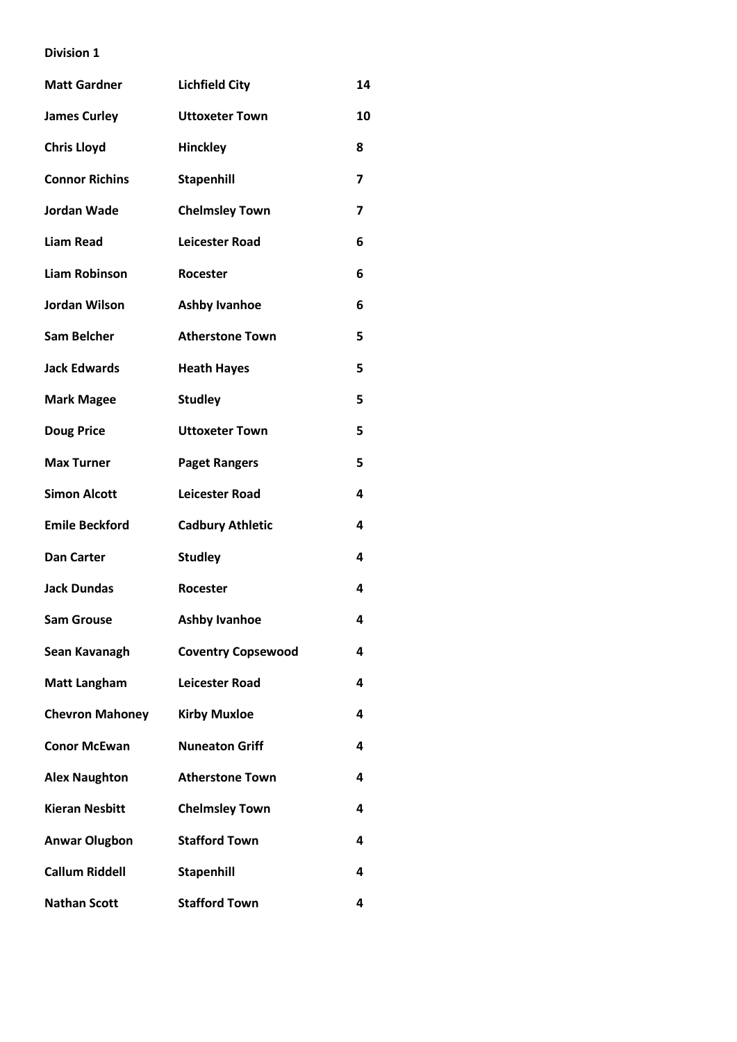| <b>Matt Gardner</b>    | <b>Lichfield City</b>     | 14 |
|------------------------|---------------------------|----|
| <b>James Curley</b>    | <b>Uttoxeter Town</b>     | 10 |
| <b>Chris Lloyd</b>     | Hinckley                  | 8  |
| <b>Connor Richins</b>  | <b>Stapenhill</b>         | 7  |
| <b>Jordan Wade</b>     | <b>Chelmsley Town</b>     | 7  |
| <b>Liam Read</b>       | <b>Leicester Road</b>     | 6  |
| <b>Liam Robinson</b>   | Rocester                  | 6  |
| Jordan Wilson          | <b>Ashby Ivanhoe</b>      | 6  |
| <b>Sam Belcher</b>     | <b>Atherstone Town</b>    | 5  |
| <b>Jack Edwards</b>    | <b>Heath Hayes</b>        | 5  |
| <b>Mark Magee</b>      | <b>Studley</b>            | 5  |
| <b>Doug Price</b>      | <b>Uttoxeter Town</b>     | 5  |
| <b>Max Turner</b>      | <b>Paget Rangers</b>      | 5  |
| <b>Simon Alcott</b>    | <b>Leicester Road</b>     | 4  |
| <b>Emile Beckford</b>  | <b>Cadbury Athletic</b>   | 4  |
| <b>Dan Carter</b>      | <b>Studley</b>            | 4  |
| <b>Jack Dundas</b>     | <b>Rocester</b>           | 4  |
| <b>Sam Grouse</b>      | <b>Ashby Ivanhoe</b>      | 4  |
| Sean Kavanagh          | <b>Coventry Copsewood</b> | 4  |
| <b>Matt Langham</b>    | <b>Leicester Road</b>     | 4  |
| <b>Chevron Mahoney</b> | <b>Kirby Muxloe</b>       | 4  |
| <b>Conor McEwan</b>    | <b>Nuneaton Griff</b>     | 4  |
| <b>Alex Naughton</b>   | <b>Atherstone Town</b>    | 4  |
| <b>Kieran Nesbitt</b>  | <b>Chelmsley Town</b>     | 4  |
| <b>Anwar Olugbon</b>   | <b>Stafford Town</b>      | 4  |
| <b>Callum Riddell</b>  | <b>Stapenhill</b>         | 4  |
| <b>Nathan Scott</b>    | <b>Stafford Town</b>      | 4  |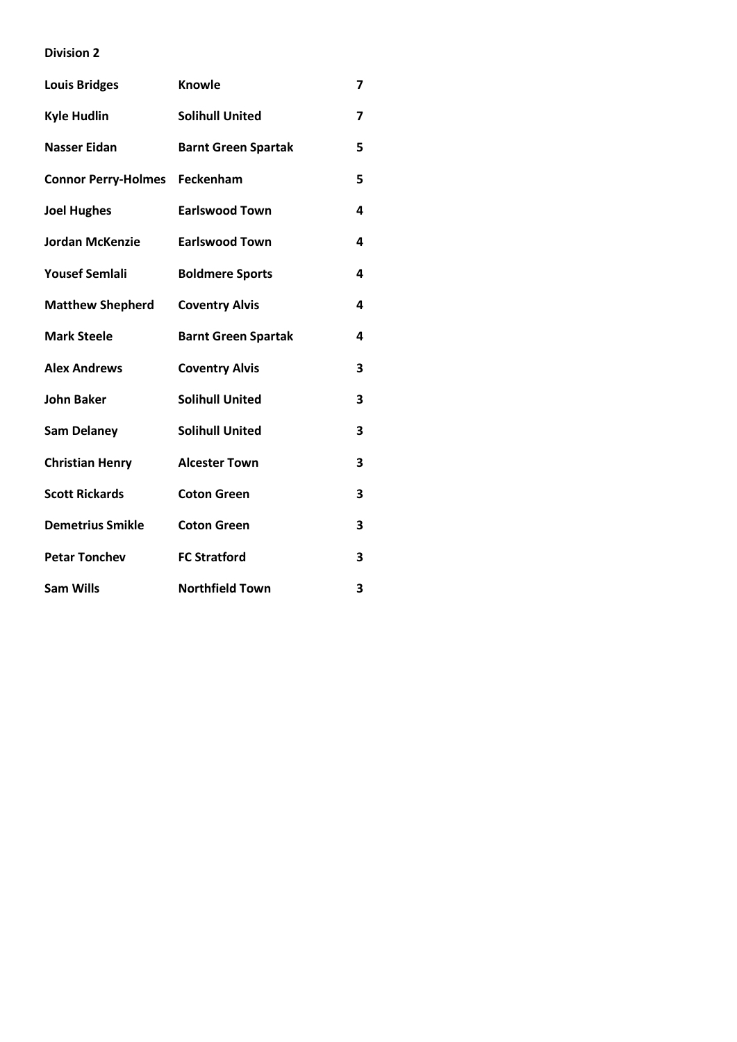| <b>Louis Bridges</b>                 | Knowle                     | 7 |
|--------------------------------------|----------------------------|---|
| <b>Kyle Hudlin</b>                   | <b>Solihull United</b>     | 7 |
| <b>Nasser Eidan</b>                  | <b>Barnt Green Spartak</b> | 5 |
| <b>Connor Perry-Holmes Feckenham</b> |                            | 5 |
| <b>Joel Hughes</b>                   | <b>Earlswood Town</b>      | 4 |
| <b>Jordan McKenzie</b>               | <b>Earlswood Town</b>      | 4 |
| <b>Yousef Semlali</b>                | <b>Boldmere Sports</b>     | 4 |
| <b>Matthew Shepherd</b>              | <b>Coventry Alvis</b>      | 4 |
| <b>Mark Steele</b>                   | <b>Barnt Green Spartak</b> | 4 |
| <b>Alex Andrews</b>                  | <b>Coventry Alvis</b>      | 3 |
| <b>John Baker</b>                    | <b>Solihull United</b>     | 3 |
| <b>Sam Delaney</b>                   | <b>Solihull United</b>     | 3 |
| <b>Christian Henry</b>               | <b>Alcester Town</b>       | 3 |
| <b>Scott Rickards</b>                | <b>Coton Green</b>         | 3 |
| <b>Demetrius Smikle</b>              | <b>Coton Green</b>         | 3 |
| <b>Petar Tonchev</b>                 | <b>FC Stratford</b>        | 3 |
| <b>Sam Wills</b>                     | <b>Northfield Town</b>     | 3 |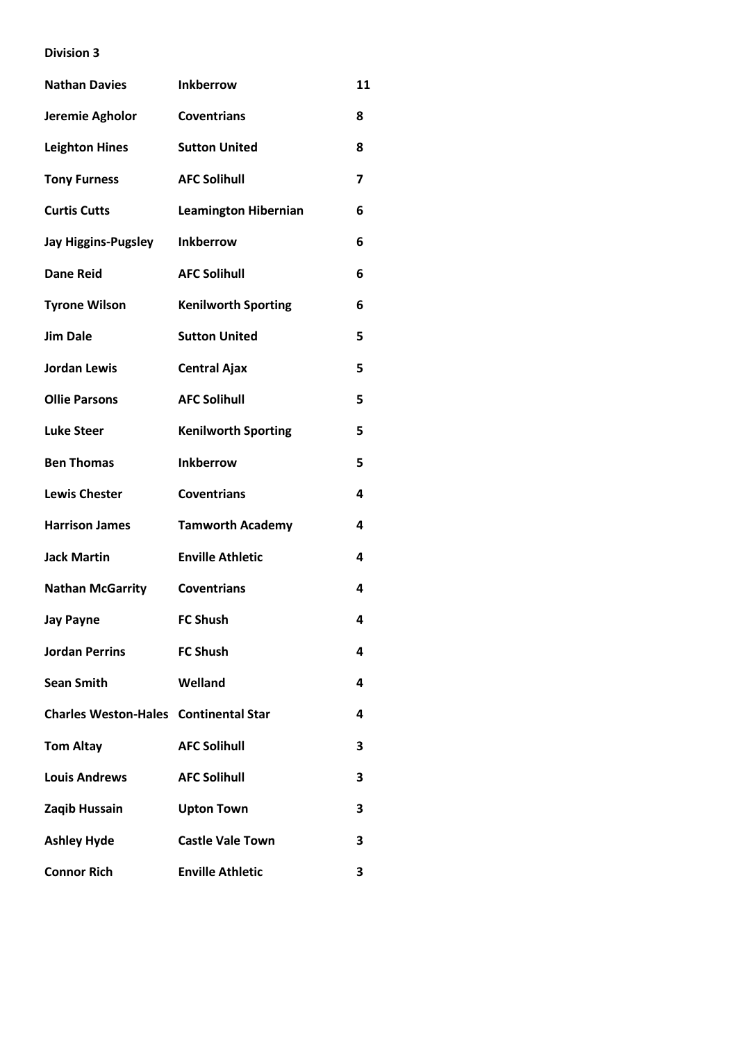| <b>Nathan Davies</b>                         | <b>Inkberrow</b>            | 11 |
|----------------------------------------------|-----------------------------|----|
| Jeremie Agholor                              | <b>Coventrians</b>          | 8  |
| <b>Leighton Hines</b>                        | <b>Sutton United</b>        | 8  |
| <b>Tony Furness</b>                          | <b>AFC Solihull</b>         | 7  |
| <b>Curtis Cutts</b>                          | <b>Leamington Hibernian</b> | 6  |
| <b>Jay Higgins-Pugsley</b>                   | <b>Inkberrow</b>            | 6  |
| <b>Dane Reid</b>                             | <b>AFC Solihull</b>         | 6  |
| <b>Tyrone Wilson</b>                         | <b>Kenilworth Sporting</b>  | 6  |
| <b>Jim Dale</b>                              | <b>Sutton United</b>        | 5  |
| <b>Jordan Lewis</b>                          | <b>Central Ajax</b>         | 5  |
| <b>Ollie Parsons</b>                         | <b>AFC Solihull</b>         | 5  |
| <b>Luke Steer</b>                            | <b>Kenilworth Sporting</b>  | 5  |
| <b>Ben Thomas</b>                            | <b>Inkberrow</b>            | 5  |
| <b>Lewis Chester</b>                         | <b>Coventrians</b>          | 4  |
| <b>Harrison James</b>                        | <b>Tamworth Academy</b>     | 4  |
| <b>Jack Martin</b>                           | <b>Enville Athletic</b>     | 4  |
| <b>Nathan McGarrity</b>                      | <b>Coventrians</b>          | 4  |
| <b>Jay Payne</b>                             | <b>FC Shush</b>             | 4  |
| <b>Jordan Perrins</b>                        | <b>FC Shush</b>             | 4  |
| <b>Sean Smith</b>                            | Welland                     | 4  |
| <b>Charles Weston-Hales Continental Star</b> |                             | 4  |
| <b>Tom Altay</b>                             | <b>AFC Solihull</b>         | 3  |
| <b>Louis Andrews</b>                         | <b>AFC Solihull</b>         | 3  |
| Zaqib Hussain                                | <b>Upton Town</b>           | 3  |
| <b>Ashley Hyde</b>                           | <b>Castle Vale Town</b>     | 3  |
| <b>Connor Rich</b>                           | <b>Enville Athletic</b>     | 3  |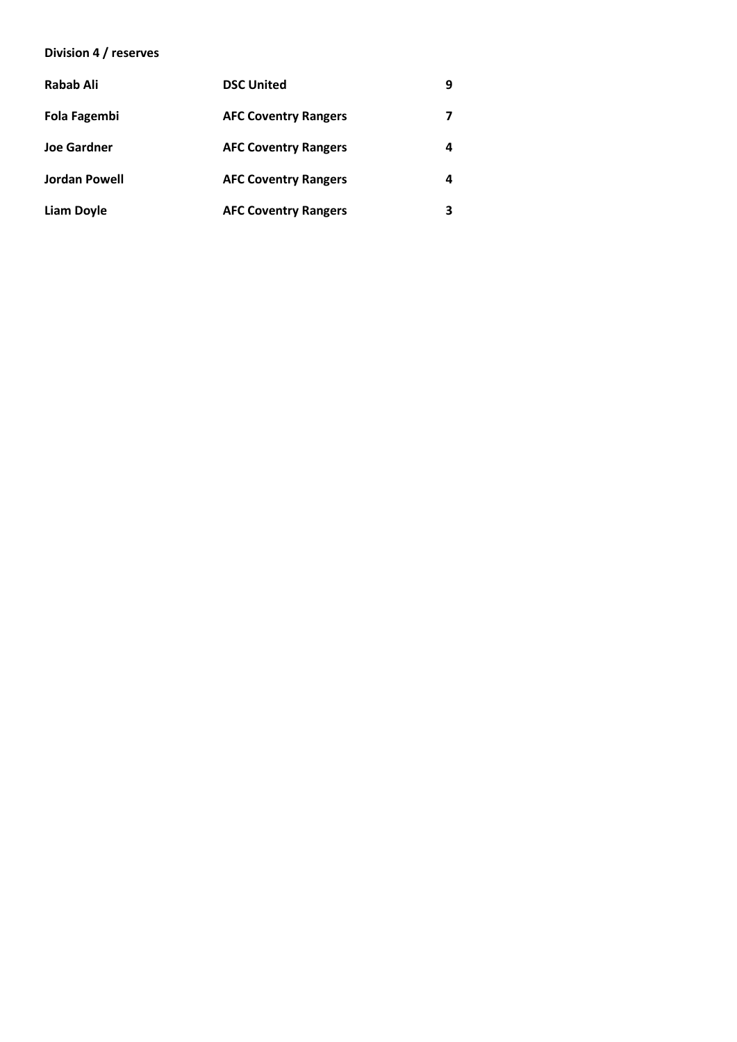#### **Division 4 / reserves**

| Rabab Ali            | <b>DSC United</b>           | q |
|----------------------|-----------------------------|---|
| Fola Fagembi         | <b>AFC Coventry Rangers</b> |   |
| <b>Joe Gardner</b>   | <b>AFC Coventry Rangers</b> | 4 |
| <b>Jordan Powell</b> | <b>AFC Coventry Rangers</b> |   |
| <b>Liam Doyle</b>    | <b>AFC Coventry Rangers</b> |   |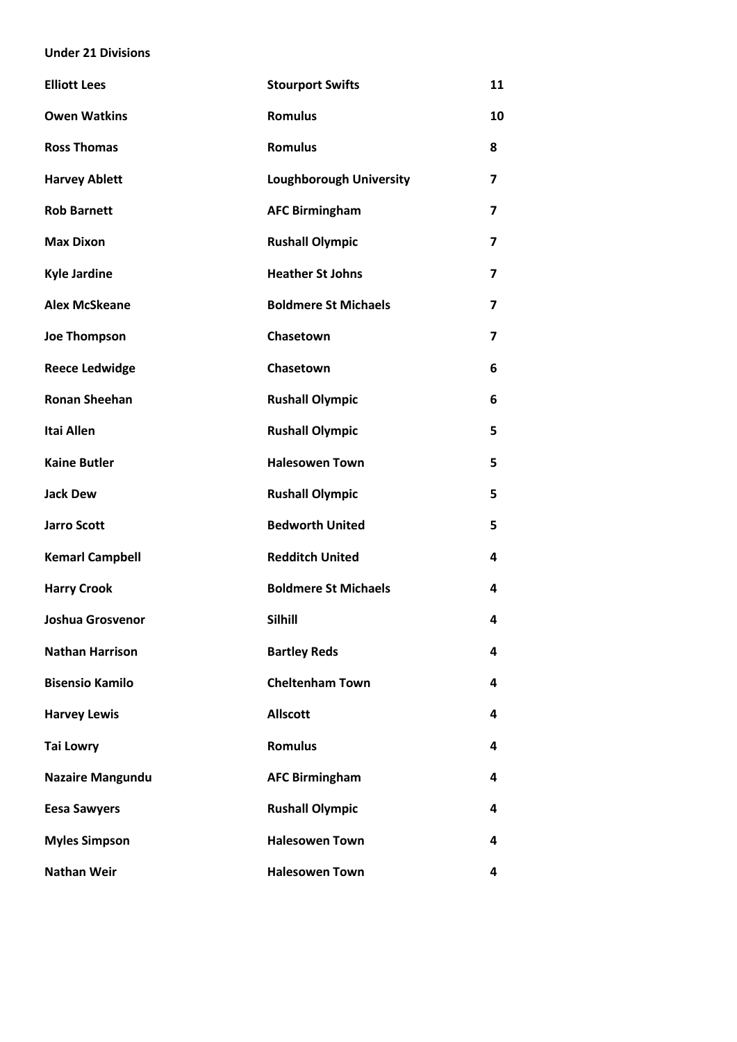#### **Under 21 Divisions**

| <b>Elliott Lees</b>     | <b>Stourport Swifts</b>        | 11                      |
|-------------------------|--------------------------------|-------------------------|
| <b>Owen Watkins</b>     | <b>Romulus</b>                 | 10                      |
| <b>Ross Thomas</b>      | <b>Romulus</b>                 | 8                       |
| <b>Harvey Ablett</b>    | <b>Loughborough University</b> | $\overline{\mathbf{z}}$ |
| <b>Rob Barnett</b>      | <b>AFC Birmingham</b>          | $\overline{\mathbf{z}}$ |
| <b>Max Dixon</b>        | <b>Rushall Olympic</b>         | $\overline{\mathbf{z}}$ |
| <b>Kyle Jardine</b>     | <b>Heather St Johns</b>        | $\overline{\mathbf{z}}$ |
| <b>Alex McSkeane</b>    | <b>Boldmere St Michaels</b>    | 7                       |
| <b>Joe Thompson</b>     | Chasetown                      | $\overline{ }$          |
| <b>Reece Ledwidge</b>   | Chasetown                      | 6                       |
| <b>Ronan Sheehan</b>    | <b>Rushall Olympic</b>         | 6                       |
| <b>Itai Allen</b>       | <b>Rushall Olympic</b>         | 5                       |
| <b>Kaine Butler</b>     | <b>Halesowen Town</b>          | 5                       |
| <b>Jack Dew</b>         | <b>Rushall Olympic</b>         | 5                       |
| <b>Jarro Scott</b>      | <b>Bedworth United</b>         | 5                       |
| <b>Kemarl Campbell</b>  | <b>Redditch United</b>         | 4                       |
| <b>Harry Crook</b>      | <b>Boldmere St Michaels</b>    | 4                       |
| Joshua Grosvenor        | Silhill                        | 4                       |
| <b>Nathan Harrison</b>  | <b>Bartley Reds</b>            | 4                       |
| <b>Bisensio Kamilo</b>  | <b>Cheltenham Town</b>         | 4                       |
| <b>Harvey Lewis</b>     | <b>Allscott</b>                | 4                       |
| <b>Tai Lowry</b>        | <b>Romulus</b>                 | 4                       |
| <b>Nazaire Mangundu</b> | <b>AFC Birmingham</b>          | 4                       |
| <b>Eesa Sawyers</b>     | <b>Rushall Olympic</b>         | 4                       |
| <b>Myles Simpson</b>    | <b>Halesowen Town</b>          | 4                       |
| <b>Nathan Weir</b>      | <b>Halesowen Town</b>          | 4                       |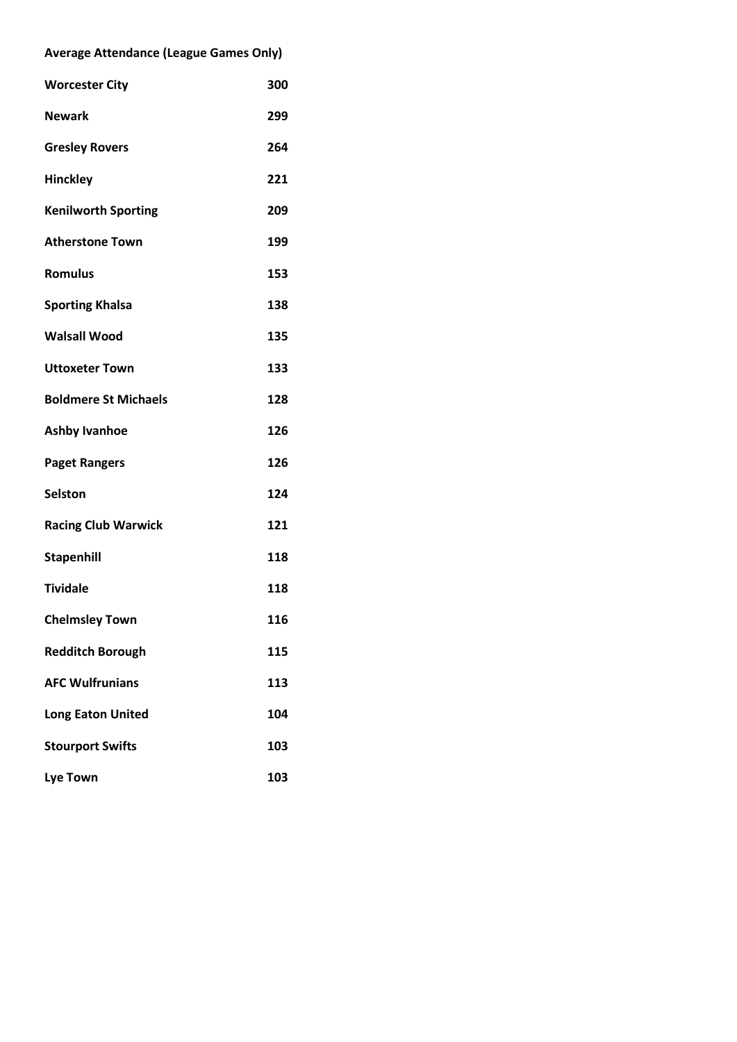| <b>Average Attendance (League Games Only)</b> |     |  |  |
|-----------------------------------------------|-----|--|--|
| <b>Worcester City</b>                         | 300 |  |  |
| <b>Newark</b>                                 | 299 |  |  |
| <b>Gresley Rovers</b>                         | 264 |  |  |
| Hinckley                                      | 221 |  |  |
| <b>Kenilworth Sporting</b>                    | 209 |  |  |
| <b>Atherstone Town</b>                        | 199 |  |  |
| <b>Romulus</b>                                | 153 |  |  |
| <b>Sporting Khalsa</b>                        | 138 |  |  |
| <b>Walsall Wood</b>                           | 135 |  |  |
| <b>Uttoxeter Town</b>                         | 133 |  |  |
| <b>Boldmere St Michaels</b>                   | 128 |  |  |
| <b>Ashby Ivanhoe</b>                          | 126 |  |  |
| <b>Paget Rangers</b>                          | 126 |  |  |
| <b>Selston</b>                                | 124 |  |  |
| <b>Racing Club Warwick</b>                    | 121 |  |  |
| <b>Stapenhill</b>                             | 118 |  |  |
| <b>Tividale</b>                               | 118 |  |  |
| <b>Chelmsley Town</b>                         | 116 |  |  |
| <b>Redditch Borough</b>                       | 115 |  |  |
| <b>AFC Wulfrunians</b>                        | 113 |  |  |
| <b>Long Eaton United</b>                      | 104 |  |  |
| <b>Stourport Swifts</b>                       | 103 |  |  |
| <b>Lye Town</b>                               | 103 |  |  |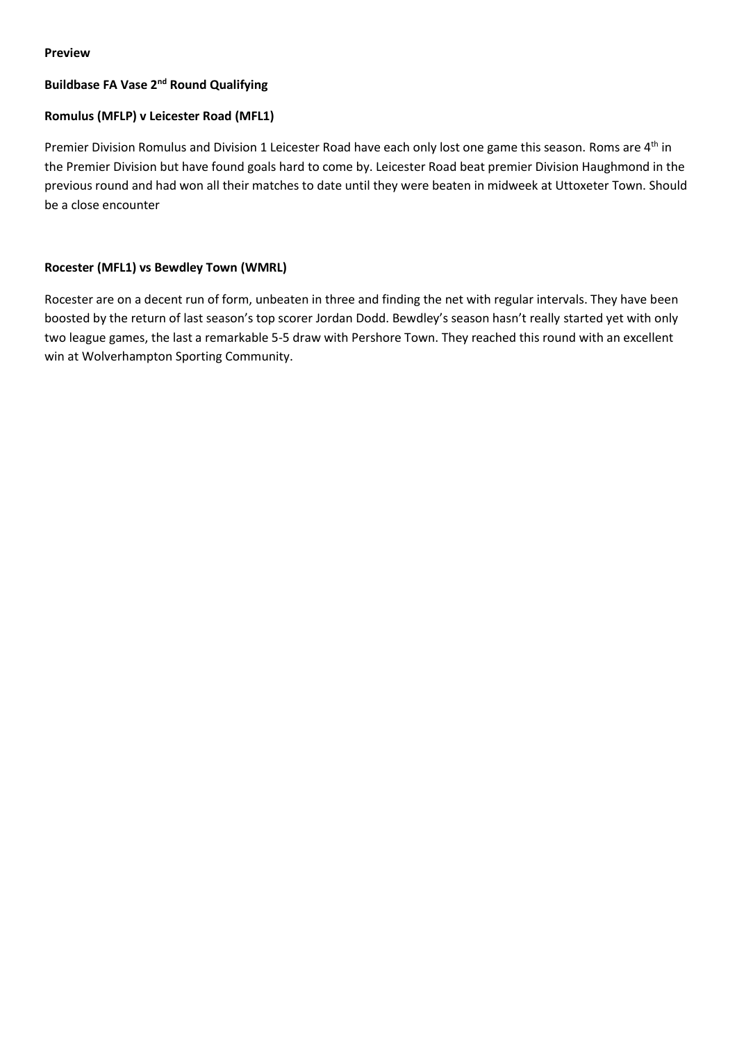#### **Preview**

#### **Buildbase FA Vase 2nd Round Qualifying**

#### **Romulus (MFLP) v Leicester Road (MFL1)**

Premier Division Romulus and Division 1 Leicester Road have each only lost one game this season. Roms are 4<sup>th</sup> in the Premier Division but have found goals hard to come by. Leicester Road beat premier Division Haughmond in the previous round and had won all their matches to date until they were beaten in midweek at Uttoxeter Town. Should be a close encounter

#### **Rocester (MFL1) vs Bewdley Town (WMRL)**

Rocester are on a decent run of form, unbeaten in three and finding the net with regular intervals. They have been boosted by the return of last season's top scorer Jordan Dodd. Bewdley's season hasn't really started yet with only two league games, the last a remarkable 5-5 draw with Pershore Town. They reached this round with an excellent win at Wolverhampton Sporting Community.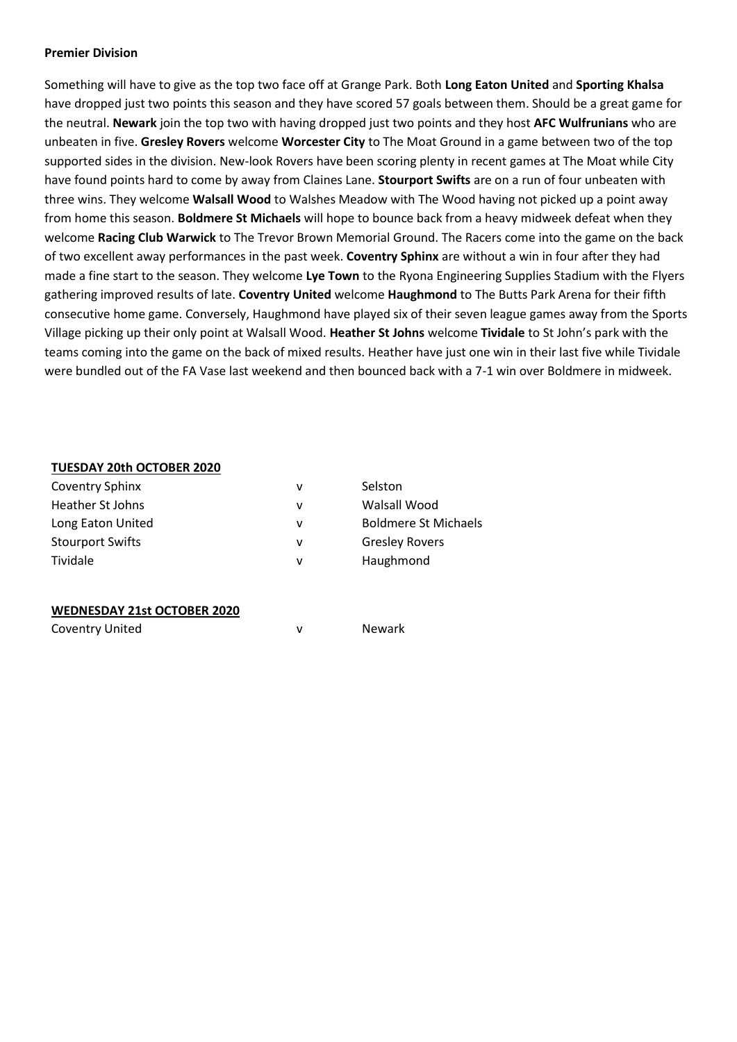#### **Premier Division**

Something will have to give as the top two face off at Grange Park. Both **Long Eaton United** and **Sporting Khalsa** have dropped just two points this season and they have scored 57 goals between them. Should be a great game for the neutral. **Newark** join the top two with having dropped just two points and they host **AFC Wulfrunians** who are unbeaten in five. **Gresley Rovers** welcome **Worcester City** to The Moat Ground in a game between two of the top supported sides in the division. New-look Rovers have been scoring plenty in recent games at The Moat while City have found points hard to come by away from Claines Lane. **Stourport Swifts** are on a run of four unbeaten with three wins. They welcome **Walsall Wood** to Walshes Meadow with The Wood having not picked up a point away from home this season. **Boldmere St Michaels** will hope to bounce back from a heavy midweek defeat when they welcome **Racing Club Warwick** to The Trevor Brown Memorial Ground. The Racers come into the game on the back of two excellent away performances in the past week. **Coventry Sphinx** are without a win in four after they had made a fine start to the season. They welcome **Lye Town** to the Ryona Engineering Supplies Stadium with the Flyers gathering improved results of late. **Coventry United** welcome **Haughmond** to The Butts Park Arena for their fifth consecutive home game. Conversely, Haughmond have played six of their seven league games away from the Sports Village picking up their only point at Walsall Wood. **Heather St Johns** welcome **Tividale** to St John's park with the teams coming into the game on the back of mixed results. Heather have just one win in their last five while Tividale were bundled out of the FA Vase last weekend and then bounced back with a 7-1 win over Boldmere in midweek.

#### **TUESDAY 20th OCTOBER 2020**

| <b>Coventry Sphinx</b>  | v | Selston                     |
|-------------------------|---|-----------------------------|
| Heather St Johns        | v | Walsall Wood                |
| Long Eaton United       | v | <b>Boldmere St Michaels</b> |
| <b>Stourport Swifts</b> | v | <b>Gresley Rovers</b>       |
| Tividale                | v | Haughmond                   |
|                         |   |                             |

#### **WEDNESDAY 21st OCTOBER 2020**

| <b>Coventry United</b> |  | Newark |
|------------------------|--|--------|
|------------------------|--|--------|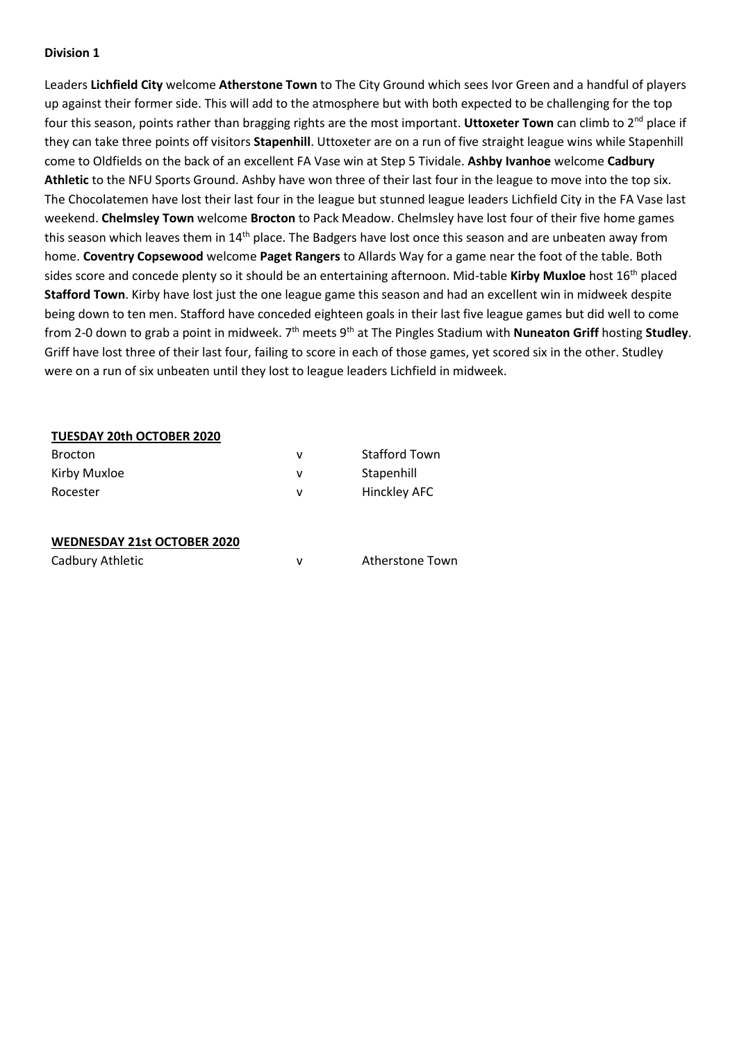Leaders **Lichfield City** welcome **Atherstone Town** to The City Ground which sees Ivor Green and a handful of players up against their former side. This will add to the atmosphere but with both expected to be challenging for the top four this season, points rather than bragging rights are the most important. **Uttoxeter Town** can climb to 2nd place if they can take three points off visitors **Stapenhill**. Uttoxeter are on a run of five straight league wins while Stapenhill come to Oldfields on the back of an excellent FA Vase win at Step 5 Tividale. **Ashby Ivanhoe** welcome **Cadbury Athletic** to the NFU Sports Ground. Ashby have won three of their last four in the league to move into the top six. The Chocolatemen have lost their last four in the league but stunned league leaders Lichfield City in the FA Vase last weekend. **Chelmsley Town** welcome **Brocton** to Pack Meadow. Chelmsley have lost four of their five home games this season which leaves them in 14<sup>th</sup> place. The Badgers have lost once this season and are unbeaten away from home. **Coventry Copsewood** welcome **Paget Rangers** to Allards Way for a game near the foot of the table. Both sides score and concede plenty so it should be an entertaining afternoon. Mid-table **Kirby Muxloe** host 16th placed **Stafford Town**. Kirby have lost just the one league game this season and had an excellent win in midweek despite being down to ten men. Stafford have conceded eighteen goals in their last five league games but did well to come from 2-0 down to grab a point in midweek. 7th meets 9th at The Pingles Stadium with **Nuneaton Griff** hosting **Studley**. Griff have lost three of their last four, failing to score in each of those games, yet scored six in the other. Studley were on a run of six unbeaten until they lost to league leaders Lichfield in midweek.

#### **TUESDAY 20th OCTOBER 2020**

| <b>Brocton</b> | <b>Stafford Town</b> |
|----------------|----------------------|
| Kirby Muxloe   | Stapenhill           |
| Rocester       | Hinckley AFC         |

#### **WEDNESDAY 21st OCTOBER 2020**

| Cadbury Athletic |  | Atherstone Town |
|------------------|--|-----------------|
|------------------|--|-----------------|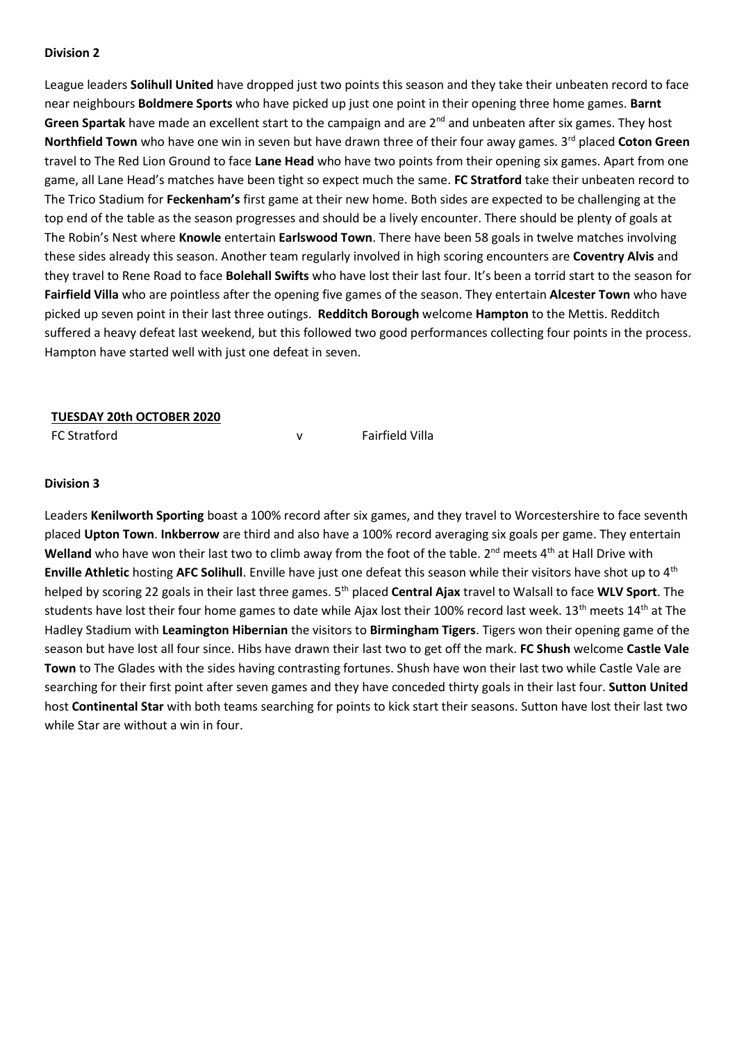League leaders **Solihull United** have dropped just two points this season and they take their unbeaten record to face near neighbours **Boldmere Sports** who have picked up just one point in their opening three home games. **Barnt Green Spartak** have made an excellent start to the campaign and are 2<sup>nd</sup> and unbeaten after six games. They host **Northfield Town** who have one win in seven but have drawn three of their four away games. 3<sup>rd</sup> placed Coton Green travel to The Red Lion Ground to face **Lane Head** who have two points from their opening six games. Apart from one game, all Lane Head's matches have been tight so expect much the same. **FC Stratford** take their unbeaten record to The Trico Stadium for **Feckenham's** first game at their new home. Both sides are expected to be challenging at the top end of the table as the season progresses and should be a lively encounter. There should be plenty of goals at The Robin's Nest where **Knowle** entertain **Earlswood Town**. There have been 58 goals in twelve matches involving these sides already this season. Another team regularly involved in high scoring encounters are **Coventry Alvis** and they travel to Rene Road to face **Bolehall Swifts** who have lost their last four. It's been a torrid start to the season for **Fairfield Villa** who are pointless after the opening five games of the season. They entertain **Alcester Town** who have picked up seven point in their last three outings. **Redditch Borough** welcome **Hampton** to the Mettis. Redditch suffered a heavy defeat last weekend, but this followed two good performances collecting four points in the process. Hampton have started well with just one defeat in seven.

#### **TUESDAY 20th OCTOBER 2020**

FC Stratford V V Fairfield Villa

#### **Division 3**

Leaders **Kenilworth Sporting** boast a 100% record after six games, and they travel to Worcestershire to face seventh placed **Upton Town**. **Inkberrow** are third and also have a 100% record averaging six goals per game. They entertain Welland who have won their last two to climb away from the foot of the table. 2<sup>nd</sup> meets 4<sup>th</sup> at Hall Drive with **Enville Athletic** hosting **AFC Solihull**. Enville have just one defeat this season while their visitors have shot up to 4th helped by scoring 22 goals in their last three games. 5th placed **Central Ajax** travel to Walsall to face **WLV Sport**. The students have lost their four home games to date while Ajax lost their 100% record last week. 13<sup>th</sup> meets 14<sup>th</sup> at The Hadley Stadium with **Leamington Hibernian** the visitors to **Birmingham Tigers**. Tigers won their opening game of the season but have lost all four since. Hibs have drawn their last two to get off the mark. **FC Shush** welcome **Castle Vale Town** to The Glades with the sides having contrasting fortunes. Shush have won their last two while Castle Vale are searching for their first point after seven games and they have conceded thirty goals in their last four. **Sutton United** host **Continental Star** with both teams searching for points to kick start their seasons. Sutton have lost their last two while Star are without a win in four.